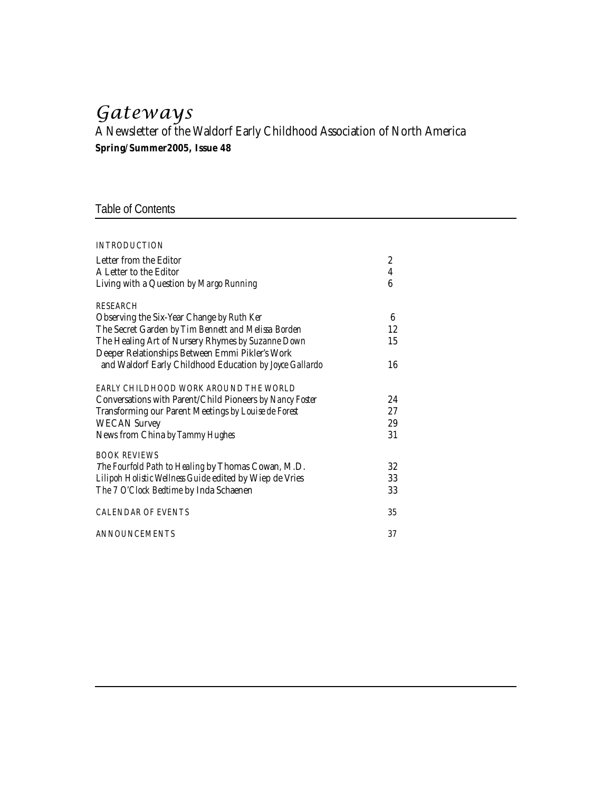# $\emph{Gateways}$ <br>A Newsletter of the Waldorf Early Childhood Association of North America **Spring/Summer2005, Issue 48**

### Table of Contents

| <i><b>INTRODUCTION</b></i>                               |     |
|----------------------------------------------------------|-----|
| Letter from the Editor                                   | 2   |
| A Letter to the Editor                                   | 4   |
| Living with a Question by Margo Running                  | 6   |
| <b>RESEARCH</b>                                          |     |
| Observing the Six-Year Change by Ruth Ker                | 6   |
| The Secret Garden by Tim Bennett and Melissa Borden      | 12  |
| The Healing Art of Nursery Rhymes by Suzanne Down        | 15  |
| Deeper Relationships Between Emmi Pikler's Work          |     |
| and Waldorf Early Childhood Education by Joyce Gallardo  | 16  |
| EARLY CHILDHOOD WORK AROUND THE WORLD                    |     |
| Conversations with Parent/Child Pioneers by Nancy Foster | 2.4 |
| Transforming our Parent Meetings by Louise de Forest     | 27  |
| <b>WECAN Survey</b>                                      | 29  |
| News from China by Tammy Hughes                          | 31  |
| <b>BOOK REVIEWS</b>                                      |     |
| The Fourfold Path to Healing by Thomas Cowan, M.D.       | 32  |
| Lilipoh Holistic Wellness Guide edited by Wiep de Vries  | 33  |
| The 7 O'Clock Bedtime by Inda Schaenen                   | 33  |
| <b>CALENDAR OF EVENTS</b>                                | 35  |
| <b>ANNOUNCEMENTS</b>                                     | 37  |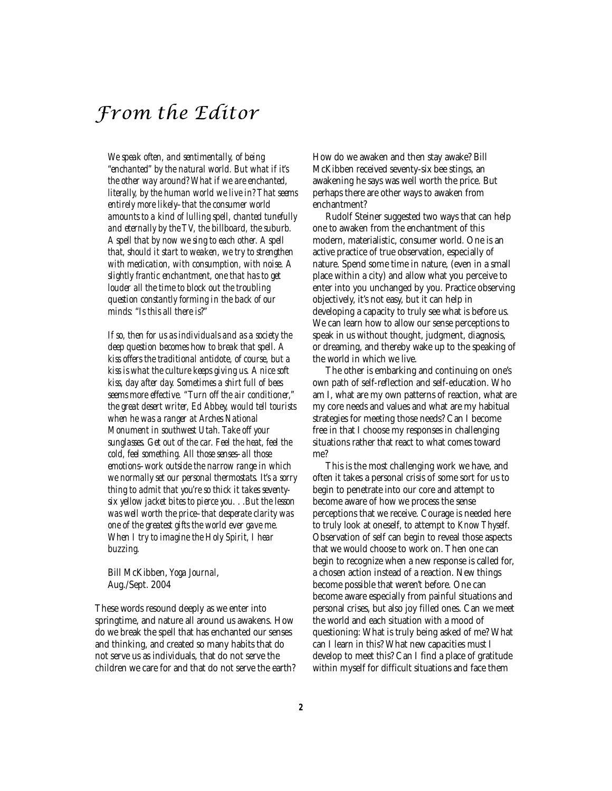## **From the Editor**

*We speak often, and sentimentally, of being "enchanted" by the natural world. But what if it's the other way around? What if we are enchanted, literally, by the human world we live in? That seems entirely more likely–that the consumer world amounts to a kind of lulling spell, chanted tunefully and eternally by the TV, the billboard, the suburb. A spell that by now we sing to each other. A spell that, should it start to weaken, we try to strengthen with medication, with consumption, with noise. A slightly frantic enchantment, one that has to get louder all the time to block out the troubling question constantly forming in the back of our minds: "Is this all there is?"*

*If so, then for us as individuals and as a society the deep question becomes how to break that spell. A kiss offers the traditional antidote, of course, but a kiss is what the culture keeps giving us. A nice soft kiss, day after day. Sometimes a shirt full of bees seems more effective. "Turn off the air conditioner," the great desert writer, Ed Abbey, would tell tourists when he was a ranger at Arches National Monument in southwest Utah. Take off your sunglasses. Get out of the car. Feel the heat, feel the cold, feel something. All those senses–all those emotions–work outside the narrow range in which we normally set our personal thermostats. It's a sorry thing to admit that you're so thick it takes seventysix yellow jacket bites to pierce you. . .But the lesson was well worth the price–that desperate clarity was one of the greatest gifts the world ever gave me. When I try to imagine the Holy Spirit, I hear buzzing.*

Bill McKibben, *Yoga Journal*, Aug./Sept. 2004

These words resound deeply as we enter into springtime, and nature all around us awakens. How do we break the spell that has enchanted our senses and thinking, and created so many habits that do not serve us as individuals, that do not serve the children we care for and that do not serve the earth? How do we awaken and then stay awake? Bill McKibben received seventy-six bee stings, an awakening he says was well worth the price. But perhaps there are other ways to awaken from enchantment?

Rudolf Steiner suggested two ways that can help one to awaken from the enchantment of this modern, materialistic, consumer world. One is an active practice of true observation, especially of nature. Spend some time in nature, (even in a small place within a city) and allow what you perceive to enter into you unchanged by you. Practice observing objectively, it's not easy, but it can help in developing a capacity to truly see what is before us. We can learn how to allow our sense perceptions to speak in us without thought, judgment, diagnosis, or dreaming, and thereby wake up to the speaking of the world in which we live.

The other is embarking and continuing on one's own path of self-reflection and self-education. Who am I, what are my own patterns of reaction, what are my core needs and values and what are my habitual strategies for meeting those needs? Can I become free in that I choose my responses in challenging situations rather that react to what comes toward me?

This is the most challenging work we have, and often it takes a personal crisis of some sort for us to begin to penetrate into our core and attempt to become aware of how we process the sense perceptions that we receive. Courage is needed here to truly look at oneself, to attempt to *Know Thyself*. Observation of self can begin to reveal those aspects that we would choose to work on. Then one can begin to recognize when a new response is called for, a chosen action instead of a reaction. New things become possible that weren't before. One can become aware especially from painful situations and personal crises, but also joy filled ones. Can we meet the world and each situation with a mood of questioning: What is truly being asked of me? What can I learn in this? What new capacities must I develop to meet this? Can I find a place of gratitude within myself for difficult situations and face them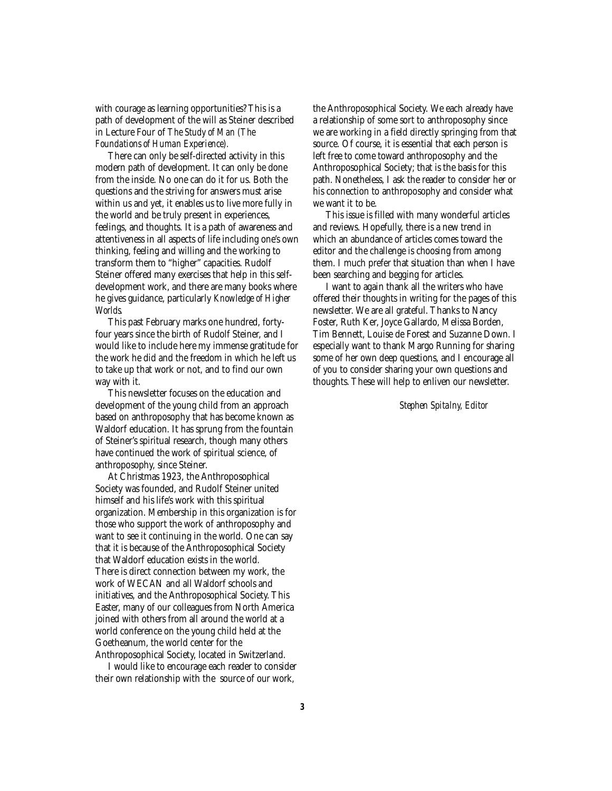with courage as learning opportunities? This is a path of development of the will as Steiner described in Lecture Four of *The Study of Man (The Foundations of Human Experience).*

There can only be self-directed activity in this modern path of development. It can only be done from the inside. No one can do it for us. Both the questions and the striving for answers must arise within us and yet, it enables us to live more fully in the world and be truly present in experiences, feelings, and thoughts. It is a path of awareness and attentiveness in all aspects of life including one's own thinking, feeling and willing and the working to transform them to "higher" capacities. Rudolf Steiner offered many exercises that help in this selfdevelopment work, and there are many books where he gives guidance, particularly *Knowledge of Higher Worlds.*

This past February marks one hundred, fortyfour years since the birth of Rudolf Steiner, and I would like to include here my immense gratitude for the work he did and the freedom in which he left us to take up that work or not, and to find our own way with it.

This newsletter focuses on the education and development of the young child from an approach based on anthroposophy that has become known as Waldorf education. It has sprung from the fountain of Steiner's spiritual research, though many others have continued the work of spiritual science, of anthroposophy, since Steiner.

At Christmas 1923, the Anthroposophical Society was founded, and Rudolf Steiner united himself and his life's work with this spiritual organization. Membership in this organization is for those who support the work of anthroposophy and want to see it continuing in the world. One can say that it is because of the Anthroposophical Society that Waldorf education exists in the world. There is direct connection between my work, the work of WECAN and all Waldorf schools and initiatives, and the Anthroposophical Society. This Easter, many of our colleagues from North America joined with others from all around the world at a world conference on the young child held at the Goetheanum, the world center for the Anthroposophical Society, located in Switzerland.

I would like to encourage each reader to consider their own relationship with the source of our work,

the Anthroposophical Society. We each already have a relationship of some sort to anthroposophy since we are working in a field directly springing from that source. Of course, it is essential that each person is left free to come toward anthroposophy and the Anthroposophical Society; that is the basis for this path. Nonetheless, I ask the reader to consider her or his connection to anthroposophy and consider what we want it to be.

This issue is filled with many wonderful articles and reviews. Hopefully, there is a new trend in which an abundance of articles comes toward the editor and the challenge is choosing from among them. I much prefer that situation than when I have been searching and begging for articles.

I want to again thank all the writers who have offered their thoughts in writing for the pages of this newsletter. We are all grateful. Thanks to Nancy Foster, Ruth Ker, Joyce Gallardo, Melissa Borden, Tim Bennett, Louise de Forest and Suzanne Down. I especially want to thank Margo Running for sharing some of her own deep questions, and I encourage all of you to consider sharing your own questions and thoughts. These will help to enliven our newsletter.

*Stephen Spitalny, Editor*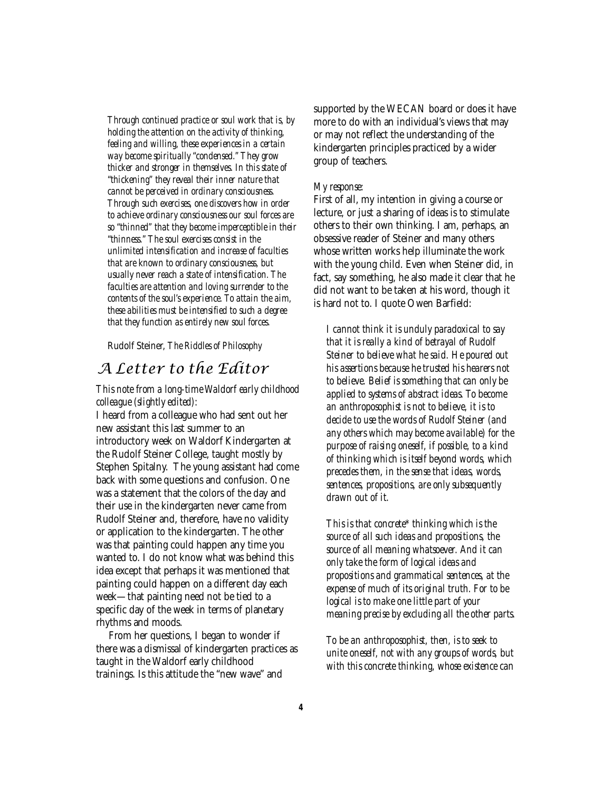*Through continued practice or soul work that is, by holding the attention on the activity of thinking, feeling and willing, these experiences in a certain way become spiritually "condensed." They grow thicker and stronger in themselves. In this state of "thickening" they reveal their inner nature that cannot be perceived in ordinary consciousness. Through such exercises, one discovers how in order to achieve ordinary consciousness our soul forces are so "thinned" that they become imperceptible in their "thinness." The soul exercises consist in the unlimited intensification and increase of faculties that are known to ordinary consciousness, but usually never reach a state of intensification. The faculties are attention and loving surrender to the contents of the soul's experience. To attain the aim, these abilities must be intensified to such a degree that they function as entirely new soul forces.*

Rudolf Steiner, *The Riddles of Philosophy*

## A Letter to the Editor

*This note from a long-time Waldorf early childhood colleague (slightly edited):*

I heard from a colleague who had sent out her new assistant this last summer to an introductory week on Waldorf Kindergarten at the Rudolf Steiner College, taught mostly by Stephen Spitalny. The young assistant had come back with some questions and confusion. One was a statement that the colors of the day and their use in the kindergarten never came from Rudolf Steiner and, therefore, have no validity or application to the kindergarten. The other was that painting could happen any time you wanted to. I do not know what was behind this idea except that perhaps it was mentioned that painting could happen on a different day each week—that painting need not be tied to a specific day of the week in terms of planetary rhythms and moods.

From her questions, I began to wonder if there was a dismissal of kindergarten practices as taught in the Waldorf early childhood trainings. Is this attitude the "new wave" and

supported by the WECAN board or does it have more to do with an individual's views that may or may not reflect the understanding of the kindergarten principles practiced by a wider group of teachers.

#### *My response:*

First of all, my intention in giving a course or lecture, or just a sharing of ideas is to stimulate others to their own thinking. I am, perhaps, an obsessive reader of Steiner and many others whose written works help illuminate the work with the young child. Even when Steiner did, in fact, say something, he also made it clear that he did not want to be taken at his word, though it is hard not to. I quote Owen Barfield:

*I cannot think it is unduly paradoxical to say that it is really a kind of betrayal of Rudolf Steiner to believe what he said. He poured out his assertions because he trusted his hearers not to believe. Belief is something that can only be applied to systems of abstract ideas. To become an anthroposophist is not to believe, it is to decide to use the words of Rudolf Steiner (and any others which may become available) for the purpose of raising oneself, if possible, to a kind of thinking which is itself beyond words, which precedes them, in the sense that ideas, words, sentences, propositions, are only subsequently drawn out of it.*

*This is that concrete\* thinking which is the source of all such ideas and propositions, the source of all meaning whatsoever. And it can only take the form of logical ideas and propositions and grammatical sentences, at the expense of much of its original truth. For to be logical is to make one little part of your meaning precise by excluding all the other parts.*

*To be an anthroposophist, then, is to seek to unite oneself, not with any groups of words, but with this concrete thinking, whose existence can*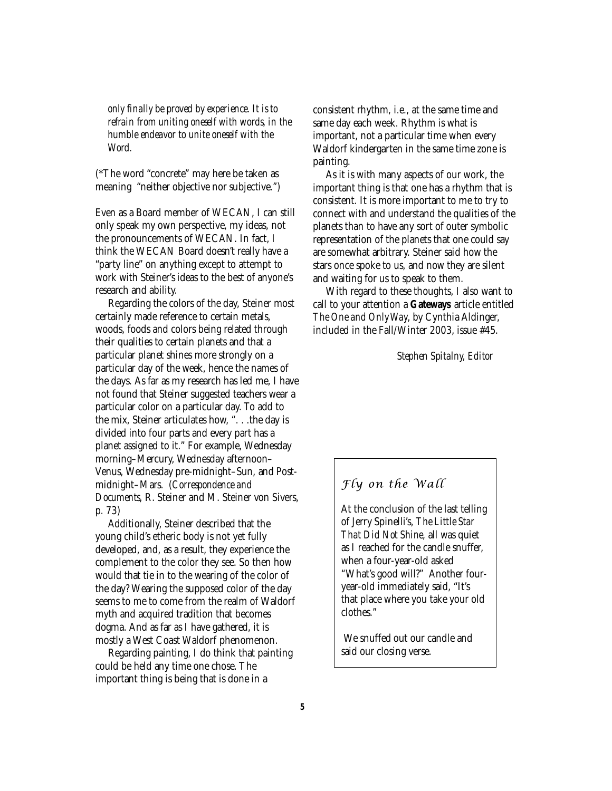*only finally be proved by experience. It is to refrain from uniting oneself with words, in the humble endeavor to unite oneself with the Word.*

(\*The word "concrete" may here be taken as meaning "neither objective nor subjective.")

Even as a Board member of WECAN, I can still only speak my own perspective, my ideas, not the pronouncements of WECAN. In fact, I think the WECAN Board doesn't really have a "party line" on anything except to attempt to work with Steiner's ideas to the best of anyone's research and ability.

Regarding the colors of the day, Steiner most certainly made reference to certain metals, woods, foods and colors being related through their qualities to certain planets and that a particular planet shines more strongly on a particular day of the week, hence the names of the days. As far as my research has led me, I have not found that Steiner suggested teachers wear a particular color on a particular day. To add to the mix, Steiner articulates how, ". . .the day is divided into four parts and every part has a planet assigned to it." For example, Wednesday morning–Mercury, Wednesday afternoon– Venus, Wednesday pre-midnight–Sun, and Postmidnight–Mars. (*Correspondence and Documents*, R. Steiner and M. Steiner von Sivers, p. 73)

Additionally, Steiner described that the young child's etheric body is not yet fully developed, and, as a result, they experience the complement to the color they see. So then how would that tie in to the wearing of the color of the day? Wearing the supposed color of the day seems to me to come from the realm of Waldorf myth and acquired tradition that becomes dogma. And as far as I have gathered, it is mostly a West Coast Waldorf phenomenon.

Regarding painting, I do think that painting could be held any time one chose. The important thing is being that is done in a

consistent rhythm, i.e., at the same time and same day each week. Rhythm is what is important, not a particular time when every Waldorf kindergarten in the same time zone is painting.

As it is with many aspects of our work, the important thing is that one has a rhythm that is consistent. It is more important to me to try to connect with and understand the qualities of the planets than to have any sort of outer symbolic representation of the planets that one could say are somewhat arbitrary. Steiner said how the stars once spoke to us, and now they are silent and waiting for us to speak to them.

With regard to these thoughts, I also want to call to your attention a **Gateways** article entitled *The One and Only Way*, by Cynthia Aldinger, included in the Fall/Winter 2003, issue #45.

*Stephen Spitalny, Editor*

### Fly on the Wall

At the conclusion of the last telling of Jerry Spinelli's, *The Little Star That Did Not Shine*, all was quiet as I reached for the candle snuffer, when a four-year-old asked "What's good will?" Another fouryear-old immediately said, "It's that place where you take your old clothes."

 We snuffed out our candle and said our closing verse.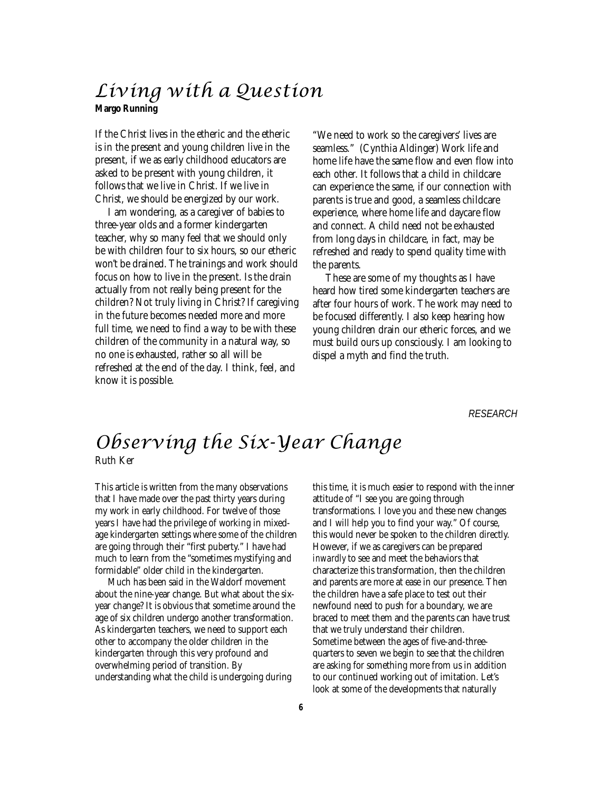## Living with a Question **Margo Running**

If the Christ lives in the etheric and the etheric is in the present and young children live in the present, if we as early childhood educators are asked to be present with young children, it follows that we live in Christ. If we live in Christ, we should be energized by our work.

I am wondering, as a caregiver of babies to three-year olds and a former kindergarten teacher, why so many feel that we should only be with children four to six hours, so our etheric won't be drained. The trainings and work should focus on how to live in the present. Is the drain actually from not really being present for the children? Not truly living in Christ? If caregiving in the future becomes needed more and more full time, we need to find a way to be with these children of the community in a natural way, so no one is exhausted, rather so all will be refreshed at the end of the day. I think, feel, and know it is possible.

"We need to work so the caregivers' lives are seamless." (Cynthia Aldinger) Work life and home life have the same flow and even flow into each other. It follows that a child in childcare can experience the same, if our connection with parents is true and good, a seamless childcare experience, where home life and daycare flow and connect. A child need not be exhausted from long days in childcare, in fact, may be refreshed and ready to spend quality time with the parents.

These are some of my thoughts as I have heard how tired some kindergarten teachers are after four hours of work. The work may need to be focused differently. I also keep hearing how young children drain our etheric forces, and we must build ours up consciously. I am looking to dispel a myth and find the truth.

*RESEARCH*

## Observing the Six-Year Change Ruth Ker

This article is written from the many observations that I have made over the past thirty years during my work in early childhood. For twelve of those years I have had the privilege of working in mixedage kindergarten settings where some of the children are going through their "first puberty." I have had much to learn from the "sometimes mystifying and formidable" older child in the kindergarten.

Much has been said in the Waldorf movement about the nine-year change. But what about the sixyear change? It is obvious that sometime around the age of six children undergo another transformation. As kindergarten teachers, we need to support each other to accompany the older children in the kindergarten through this very profound and overwhelming period of transition. By understanding what the child is undergoing during

this time, it is much easier to respond with the inner attitude of "I see you are going through transformations. I love you *and* these new changes and I will help you to find your way." Of course, this would never be spoken to the children directly. However, if we as caregivers can be prepared *inwardly* to see and meet the behaviors that characterize this transformation, then the children and parents are more at ease in our presence. Then the children have a safe place to test out their newfound need to push for a boundary, we are braced to meet them and the parents can have trust that we truly understand their children. Sometime between the ages of five-and-threequarters to seven we begin to see that the children are asking for something more from us in addition to our continued working out of imitation. Let's look at some of the developments that naturally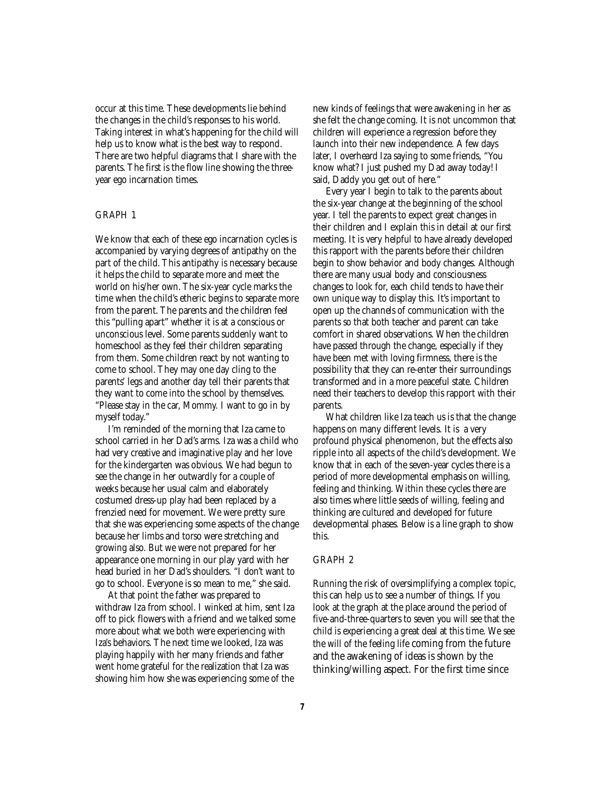occur at this time. These developments lie behind the changes in the child's responses to his world. Taking interest in what's happening for the child will help us to know what is the best way to respond. There are two helpful diagrams that I share with the parents. The first is the flow line showing the threeyear ego incarnation times.

#### GRAPH 1

We know that each of these ego incarnation cycles is accompanied by varying degrees of antipathy on the part of the child. This antipathy is necessary because it helps the child to separate more and meet the world on his/her own. The six-year cycle marks the time when the child's etheric begins to separate more from the parent. The parents and the children feel this "pulling apart" whether it is at a conscious or unconscious level. Some parents suddenly want to homeschool as they feel their children separating from them. Some children react by not wanting to come to school. They may one day cling to the parents' legs and another day tell their parents that they want to come into the school by themselves. "Please stay in the car, Mommy. I want to go in by myself today."

I'm reminded of the morning that Iza came to school carried in her Dad's arms. Iza was a child who had very creative and imaginative play and her love for the kindergarten was obvious. We had begun to see the change in her outwardly for a couple of weeks because her usual calm and elaborately costumed dress-up play had been replaced by a frenzied need for movement. We were pretty sure that she was experiencing some aspects of the change because her limbs and torso were stretching and growing also. But we were not prepared for her appearance one morning in our play yard with her head buried in her Dad's shoulders. "I don't want to go to school. Everyone is so mean to me," she said.

At that point the father was prepared to withdraw Iza from school. I winked at him, sent Iza off to pick flowers with a friend and we talked some more about what we both were experiencing with Iza's behaviors. The next time we looked, Iza was playing happily with her many friends and father went home grateful for the realization that Iza was showing him how she was experiencing some of the

new kinds of feelings that were awakening in her as she felt the change coming. It is not uncommon that children will experience a regression before they launch into their new independence. A few days later, I overheard Iza saying to some friends, "You know what? I just pushed my Dad away today! I said, Daddy you get out of here."

Every year I begin to talk to the parents about the six-year change at the beginning of the school year. I tell the parents to expect great changes in their children and I explain this in detail at our first meeting. It is very helpful to have already developed this rapport with the parents before their children begin to show behavior and body changes. Although there are many usual body and consciousness changes to look for, each child tends to have their own unique way to display this. It's important to open up the channels of communication with the parents so that both teacher and parent can take comfort in shared observations. When the children have passed through the change, especially if they have been met with loving firmness, there is the possibility that they can re-enter their surroundings transformed and in a more peaceful state. Children need their teachers to develop this rapport with their parents.

What children like Iza teach us is that the change happens on many different levels. It is a very profound physical phenomenon, but the effects also ripple into all aspects of the child's development. We know that in each of the seven-year cycles there is a period of more developmental emphasis on willing, feeling and thinking. Within these cycles there are also times where little seeds of willing, feeling and thinking are cultured and developed for future developmental phases. Below is a line graph to show this.

#### GRAPH 2

Running the risk of oversimplifying a complex topic, this can help us to see a number of things. If you look at the graph at the place around the period of five-and-three-quarters to seven you will see that the child is experiencing a great deal at this time. We see the will of the feeling life coming from the future and the awakening of ideas is shown by the thinking/willing aspect. For the first time since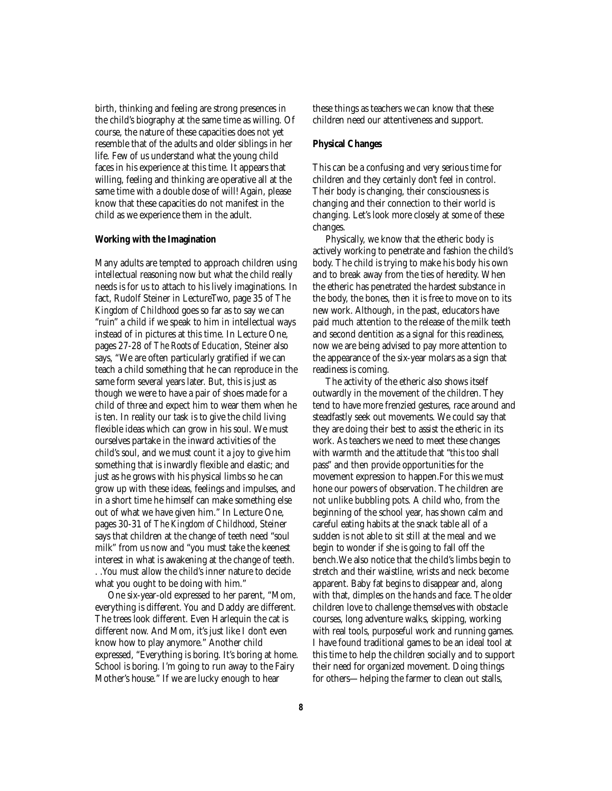birth, thinking and feeling are strong presences in the child's biography at the same time as willing. Of course, the nature of these capacities does not yet resemble that of the adults and older siblings in her life. Few of us understand what the young child faces in his experience at this time. It appears that willing, feeling and thinking are operative all at the same time with a double dose of will! Again, please know that these capacities do not manifest in the child as we experience them in the adult.

#### *Working with the Imagination*

Many adults are tempted to approach children using intellectual reasoning now but what the child really needs is for us to attach to his lively imaginations. In fact, Rudolf Steiner in LectureTwo, page 35 of *The Kingdom of Childhood* goes so far as to say we can "ruin" a child if we speak to him in intellectual ways instead of in pictures at this time. In Lecture One, pages 27-28 of *The Roots of Education*, Steiner also says, "We are often particularly gratified if we can teach a child something that he can reproduce in the same form several years later. But, this is just as though we were to have a pair of shoes made for a child of three and expect him to wear them when he is ten. In reality our task is to give the child living flexible ideas which can grow in his soul. We must ourselves partake in the inward activities of the child's soul, and we must count it a joy to give him something that is inwardly flexible and elastic; and just as he grows with his physical limbs so he can grow up with these ideas, feelings and impulses, and in a short time he himself can make something else out of what we have given him." In Lecture One, pages 30-31 of *The Kingdom of Childhood*, Steiner says that children at the change of teeth need "soul milk" from us now and "you must take the keenest interest in what is awakening at the change of teeth. . .You must allow the child's inner nature to decide what you ought to be doing with him."

One six-year-old expressed to her parent, "Mom, everything is different. You and Daddy are different. The trees look different. Even Harlequin the cat is different now. And Mom, it's just like I don't even know how to play anymore." Another child expressed, "Everything is boring. It's boring at home. School is boring. I'm going to run away to the Fairy Mother's house." If we are lucky enough to hear

these things as teachers we can know that these children need our attentiveness and support.

#### *Physical Changes*

This can be a confusing and very serious time for children and they certainly don't feel in control. Their body is changing, their consciousness is changing and their connection to their world is changing. Let's look more closely at some of these changes.

Physically, we know that the etheric body is actively working to penetrate and fashion the child's body. The child is trying to make his body his own and to break away from the ties of heredity. When the etheric has penetrated the hardest substance in the body, the bones, then it is free to move on to its new work. Although, in the past, educators have paid much attention to the release of the milk teeth and second dentition as a signal for this readiness, now we are being advised to pay more attention to the appearance of the six-year molars as a sign that readiness is coming.

The activity of the etheric also shows itself outwardly in the movement of the children. They tend to have more frenzied gestures, race around and steadfastly seek out movements. We could say that they are doing their best to assist the etheric in its work. As teachers we need to meet these changes with warmth and the attitude that "this too shall pass" and then provide opportunities for the movement expression to happen.For this we must hone our powers of observation. The children are not unlike bubbling pots. A child who, from the beginning of the school year, has shown calm and careful eating habits at the snack table all of a sudden is not able to sit still at the meal and we begin to wonder if she is going to fall off the bench.We also notice that the child's limbs begin to stretch and their waistline, wrists and neck become apparent. Baby fat begins to disappear and, along with that, dimples on the hands and face. The older children love to challenge themselves with obstacle courses, long adventure walks, skipping, working with real tools, purposeful work and running games. I have found traditional games to be an ideal tool at this time to help the children socially and to support their need for organized movement. Doing things for others—helping the farmer to clean out stalls,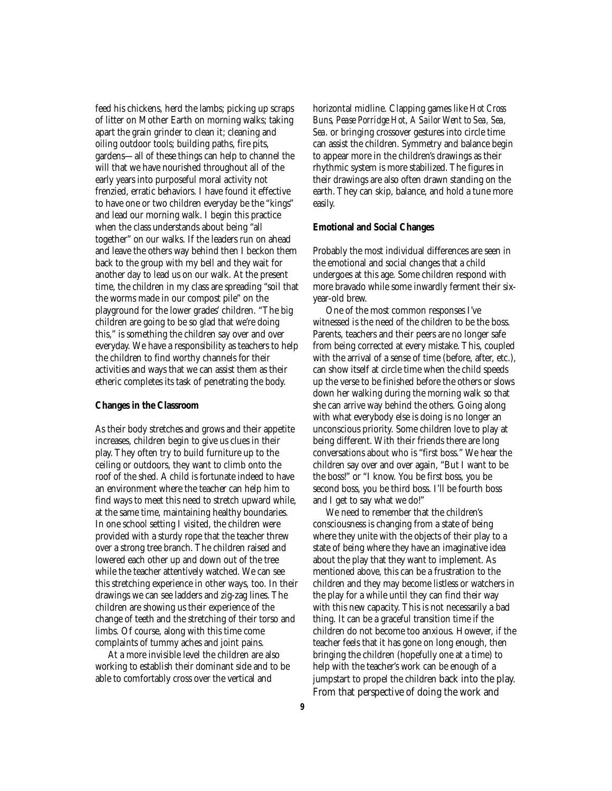feed his chickens, herd the lambs; picking up scraps of litter on Mother Earth on morning walks; taking apart the grain grinder to clean it; cleaning and oiling outdoor tools; building paths, fire pits, gardens—all of these things can help to channel the will that we have nourished throughout all of the early years into purposeful moral activity not frenzied, erratic behaviors. I have found it effective to have one or two children everyday be the "kings" and lead our morning walk. I begin this practice when the class understands about being "all together" on our walks. If the leaders run on ahead and leave the others way behind then I beckon them back to the group with my bell and they wait for another day to lead us on our walk. At the present time, the children in my class are spreading "soil that the worms made in our compost pile" on the playground for the lower grades' children. "The big children are going to be so glad that we're doing this," is something the children say over and over everyday. We have a responsibility as teachers to help the children to find worthy channels for their activities and ways that we can assist them as their etheric completes its task of penetrating the body.

#### *Changes in the Classroom*

As their body stretches and grows and their appetite increases, children begin to give us clues in their play. They often try to build furniture up to the ceiling or outdoors, they want to climb onto the roof of the shed. A child is fortunate indeed to have an environment where the teacher can help him to find ways to meet this need to stretch upward while, at the same time, maintaining healthy boundaries. In one school setting I visited, the children were provided with a sturdy rope that the teacher threw over a strong tree branch. The children raised and lowered each other up and down out of the tree while the teacher attentively watched. We can see this stretching experience in other ways, too. In their drawings we can see ladders and zig-zag lines. The children are showing us their experience of the change of teeth and the stretching of their torso and limbs. Of course, along with this time come complaints of tummy aches and joint pains.

At a more invisible level the children are also working to establish their dominant side and to be able to comfortably cross over the vertical and

horizontal midline. Clapping games like *Hot Cross Buns*, *Pease Porridge Hot*, *A Sailor Went to Sea, Sea, Sea*. or bringing crossover gestures into circle time can assist the children. Symmetry and balance begin to appear more in the children's drawings as their rhythmic system is more stabilized. The figures in their drawings are also often drawn standing on the earth. They can skip, balance, and hold a tune more easily.

#### *Emotional and Social Changes*

Probably the most individual differences are seen in the emotional and social changes that a child undergoes at this age. Some children respond with more bravado while some inwardly ferment their sixyear-old brew.

One of the most common responses I've witnessed is the need of the children to be the boss. Parents, teachers and their peers are no longer safe from being corrected at every mistake. This, coupled with the arrival of a sense of time (before, after, etc.), can show itself at circle time when the child speeds up the verse to be finished before the others or slows down her walking during the morning walk so that she can arrive way behind the others. Going along with what everybody else is doing is no longer an unconscious priority. Some children love to play at being different. With their friends there are long conversations about who is "first boss." We hear the children say over and over again, "But I want to be the boss!" or "I know. You be first boss, you be second boss, you be third boss. I'll be fourth boss and I get to say what we do!"

We need to remember that the children's consciousness is changing from a state of being where they unite with the objects of their play to a state of being where they have an imaginative idea about the play that they want to implement. As mentioned above, this can be a frustration to the children and they may become listless or watchers in the play for a while until they can find their way with this new capacity. This is not necessarily a bad thing. It can be a graceful transition time if the children do not become too anxious. However, if the teacher feels that it has gone on long enough, then bringing the children (hopefully one at a time) to help with the teacher's work can be enough of a jumpstart to propel the children back into the play. From that perspective of doing the work and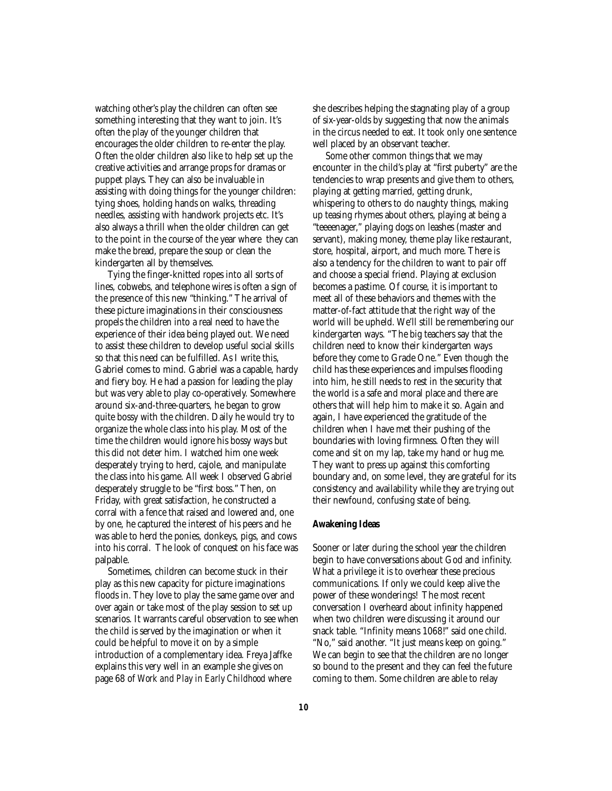watching other's play the children can often see something interesting that they want to join. It's often the play of the younger children that encourages the older children to re-enter the play. Often the older children also like to help set up the creative activities and arrange props for dramas or puppet plays. They can also be invaluable in assisting with doing things for the younger children: tying shoes, holding hands on walks, threading needles, assisting with handwork projects etc. It's also always a thrill when the older children can get to the point in the course of the year where they can make the bread, prepare the soup or clean the kindergarten all by themselves.

Tying the finger-knitted ropes into all sorts of lines, cobwebs, and telephone wires is often a sign of the presence of this new "thinking." The arrival of these picture imaginations in their consciousness propels the children into a real need to have the experience of their idea being played out. We need to assist these children to develop useful social skills so that this need can be fulfilled. As I write this, Gabriel comes to mind. Gabriel was a capable, hardy and fiery boy. He had a passion for leading the play but was very able to play co-operatively. Somewhere around six-and-three-quarters, he began to grow quite bossy with the children. Daily he would try to organize the whole class into his play. Most of the time the children would ignore his bossy ways but this did not deter him. I watched him one week desperately trying to herd, cajole, and manipulate the class into his game. All week I observed Gabriel desperately struggle to be "first boss." Then, on Friday, with great satisfaction, he constructed a corral with a fence that raised and lowered and, one by one, he captured the interest of his peers and he was able to herd the ponies, donkeys, pigs, and cows into his corral. The look of conquest on his face was palpable.

Sometimes, children can become stuck in their play as this new capacity for picture imaginations floods in. They love to play the same game over and over again or take most of the play session to set up scenarios. It warrants careful observation to see when the child is served by the imagination or when it could be helpful to move it on by a simple introduction of a complementary idea. Freya Jaffke explains this very well in an example she gives on page 68 of *Work and Play in Early Childhood* where

she describes helping the stagnating play of a group of six-year-olds by suggesting that now the animals in the circus needed to eat. It took only one sentence well placed by an observant teacher.

Some other common things that we may encounter in the child's play at "first puberty" are the tendencies to wrap presents and give them to others, playing at getting married, getting drunk, whispering to others to do naughty things, making up teasing rhymes about others, playing at being a "teeeenager," playing dogs on leashes (master and servant), making money, theme play like restaurant, store, hospital, airport, and much more. There is also a tendency for the children to want to pair off and choose a special friend. Playing at exclusion becomes a pastime. Of course, it is important to meet all of these behaviors and themes with the matter-of-fact attitude that the right way of the world will be upheld. We'll still be remembering our kindergarten ways. "The big teachers say that the children need to know their kindergarten ways before they come to Grade One." Even though the child has these experiences and impulses flooding into him, he still needs to rest in the security that the world is a safe and moral place and there are others that will help him to make it so. Again and again, I have experienced the gratitude of the children when I have met their pushing of the boundaries with loving firmness. Often they will come and sit on my lap, take my hand or hug me. They want to press up against this comforting boundary and, on some level, they are grateful for its consistency and availability while they are trying out their newfound, confusing state of being.

#### *Awakening Ideas*

Sooner or later during the school year the children begin to have conversations about God and infinity. What a privilege it is to overhear these precious communications. If only we could keep alive the power of these wonderings! The most recent conversation I overheard about infinity happened when two children were discussing it around our snack table. "Infinity means 1068!" said one child. "No," said another. "It just means keep on going." We can begin to see that the children are no longer so bound to the present and they can feel the future coming to them. Some children are able to relay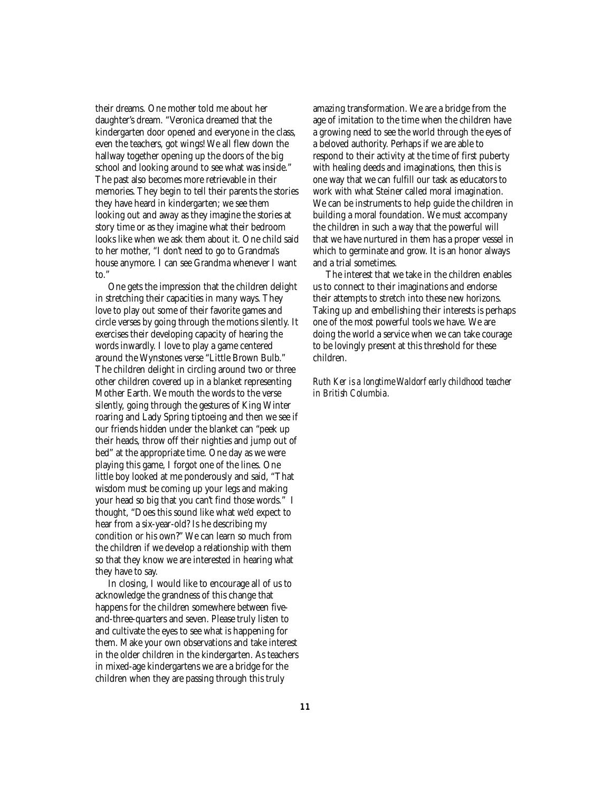their dreams. One mother told me about her daughter's dream. "Veronica dreamed that the kindergarten door opened and everyone in the class, even the teachers, got wings! We all flew down the hallway together opening up the doors of the big school and looking around to see what was inside." The past also becomes more retrievable in their memories. They begin to tell their parents the stories they have heard in kindergarten; we see them looking out and away as they imagine the stories at story time or as they imagine what their bedroom looks like when we ask them about it. One child said to her mother, "I don't need to go to Grandma's house anymore. I can see Grandma whenever I want to."

One gets the impression that the children delight in stretching their capacities in many ways. They love to play out some of their favorite games and circle verses by going through the motions silently. It exercises their developing capacity of hearing the words inwardly. I love to play a game centered around the Wynstones verse "Little Brown Bulb." The children delight in circling around two or three other children covered up in a blanket representing Mother Earth. We mouth the words to the verse silently, going through the gestures of King Winter roaring and Lady Spring tiptoeing and then we see if our friends hidden under the blanket can "peek up their heads, throw off their nighties and jump out of bed" at the appropriate time. One day as we were playing this game, I forgot one of the lines. One little boy looked at me ponderously and said, "That wisdom must be coming up your legs and making your head so big that you can't find those words." I thought, "Does this sound like what we'd expect to hear from a six-year-old? Is he describing my condition or his own?" We can learn so much from the children if we develop a relationship with them so that they know we are interested in hearing what they have to say.

In closing, I would like to encourage all of us to acknowledge the grandness of this change that happens for the children somewhere between fiveand-three-quarters and seven. Please truly listen to and cultivate the eyes to see what is happening for them. Make your own observations and take interest in the older children in the kindergarten. As teachers in mixed-age kindergartens we are a bridge for the children when they are passing through this truly

amazing transformation. We are a bridge from the age of imitation to the time when the children have a growing need to see the world through the eyes of a beloved authority. Perhaps if we are able to respond to their activity at the time of first puberty with healing deeds and imaginations, then this is one way that we can fulfill our task as educators to work with what Steiner called moral imagination. We can be instruments to help guide the children in building a moral foundation. We must accompany the children in such a way that the powerful will that we have nurtured in them has a proper vessel in which to germinate and grow. It is an honor always and a trial sometimes.

The interest that we take in the children enables us to connect to their imaginations and endorse their attempts to stretch into these new horizons. Taking up and embellishing their interests is perhaps one of the most powerful tools we have. We are doing the world a service when we can take courage to be lovingly present at this threshold for these children.

#### *Ruth Ker is a longtime Waldorf early childhood teacher in British Columbia.*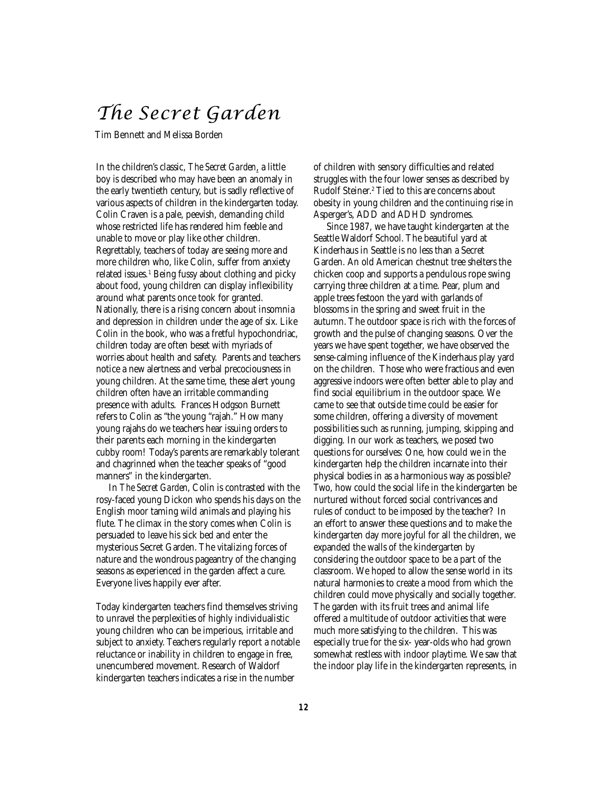## The Secret Garden

Tim Bennett and Melissa Borden

In the children's classic, *The Secret Garden*, a little boy is described who may have been an anomaly in the early twentieth century, but is sadly reflective of various aspects of children in the kindergarten today. Colin Craven is a pale, peevish, demanding child whose restricted life has rendered him feeble and unable to move or play like other children. Regrettably, teachers of today are seeing more and more children who, like Colin, suffer from anxiety related issues.<sup>1</sup> Being fussy about clothing and picky about food, young children can display inflexibility around what parents once took for granted. Nationally, there is a rising concern about insomnia and depression in children under the age of six. Like Colin in the book, who was a fretful hypochondriac, children today are often beset with myriads of worries about health and safety. Parents and teachers notice a new alertness and verbal precociousness in young children. At the same time, these alert young children often have an irritable commanding presence with adults. Frances Hodgson Burnett refers to Colin as "the young "rajah." How many young rajahs do we teachers hear issuing orders to their parents each morning in the kindergarten cubby room! Today's parents are remarkably tolerant and chagrinned when the teacher speaks of "good manners" in the kindergarten.

In *The Secret Garden*, Colin is contrasted with the rosy-faced young Dickon who spends his days on the English moor taming wild animals and playing his flute. The climax in the story comes when Colin is persuaded to leave his sick bed and enter the mysterious Secret Garden. The vitalizing forces of nature and the wondrous pageantry of the changing seasons as experienced in the garden affect a cure. Everyone lives happily ever after.

Today kindergarten teachers find themselves striving to unravel the perplexities of highly individualistic young children who can be imperious, irritable and subject to anxiety. Teachers regularly report a notable reluctance or inability in children to engage in free, unencumbered movement. Research of Waldorf kindergarten teachers indicates a rise in the number

of children with sensory difficulties and related struggles with the four lower senses as described by Rudolf Steiner.<sup>2</sup> Tied to this are concerns about obesity in young children and the continuing rise in Asperger's, ADD and ADHD syndromes.

Since 1987, we have taught kindergarten at the Seattle Waldorf School. The beautiful yard at Kinderhaus in Seattle is no less than a Secret Garden. An old American chestnut tree shelters the chicken coop and supports a pendulous rope swing carrying three children at a time. Pear, plum and apple trees festoon the yard with garlands of blossoms in the spring and sweet fruit in the autumn. The outdoor space is rich with the forces of growth and the pulse of changing seasons. Over the years we have spent together, we have observed the sense-calming influence of the Kinderhaus play yard on the children. Those who were fractious and even aggressive indoors were often better able to play and find social equilibrium in the outdoor space. We came to see that outside time could be easier for some children, offering a diversity of movement possibilities such as running, jumping, skipping and digging. In our work as teachers, we posed two questions for ourselves: One, how could we in the kindergarten help the children incarnate into their physical bodies in as a harmonious way as possible? Two, how could the social life in the kindergarten be nurtured without forced social contrivances and rules of conduct to be imposed by the teacher? In an effort to answer these questions and to make the kindergarten day more joyful for all the children, we expanded the walls of the kindergarten by considering the outdoor space to be a part of the classroom. We hoped to allow the sense world in its natural harmonies to create a mood from which the children could move physically and socially together. The garden with its fruit trees and animal life offered a multitude of outdoor activities that were much more satisfying to the children. This was especially true for the six- year-olds who had grown somewhat restless with indoor playtime. We saw that the indoor play life in the kindergarten represents, in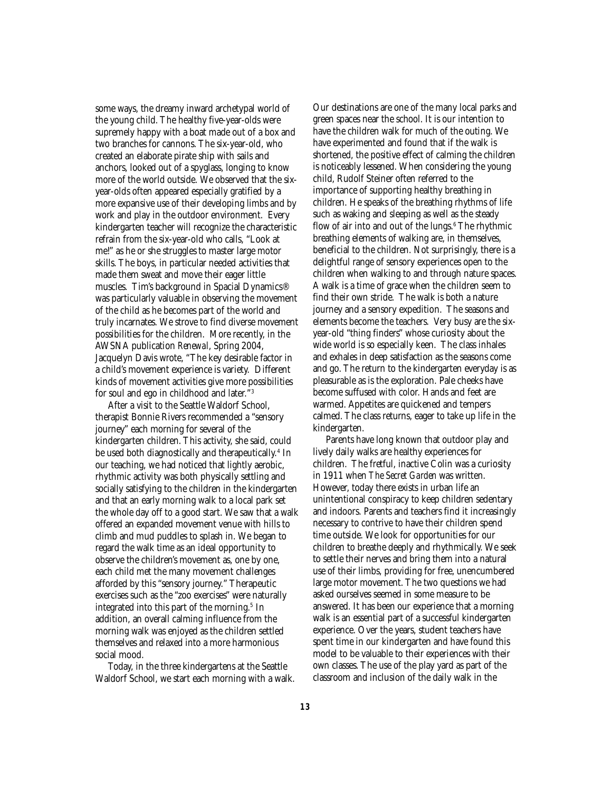some ways, the dreamy inward archetypal world of the young child. The healthy five-year-olds were supremely happy with a boat made out of a box and two branches for cannons. The six-year-old, who created an elaborate pirate ship with sails and anchors, looked out of a spyglass, longing to know more of the world outside. We observed that the sixyear-olds often appeared especially gratified by a more expansive use of their developing limbs and by work and play in the outdoor environment. Every kindergarten teacher will recognize the characteristic refrain from the six-year-old who calls, "Look at me!" as he or she struggles to master large motor skills. The boys, in particular needed activities that made them sweat and move their eager little muscles. Tim's background in Spacial Dynamics® was particularly valuable in observing the movement of the child as he becomes part of the world and truly incarnates. We strove to find diverse movement possibilities for the children. More recently, in the AWSNA publication *Renewal*, Spring 2004, Jacquelyn Davis wrote, "The key desirable factor in a child's movement experience is variety. Different kinds of movement activities give more possibilities for soul and ego in childhood and later."<sup>3</sup>

After a visit to the Seattle Waldorf School, therapist Bonnie Rivers recommended a "sensory journey" each morning for several of the kindergarten children. This activity, she said, could be used both diagnostically and therapeutically.<sup>4</sup> In our teaching, we had noticed that lightly aerobic, rhythmic activity was both physically settling and socially satisfying to the children in the kindergarten and that an early morning walk to a local park set the whole day off to a good start. We saw that a walk offered an expanded movement venue with hills to climb and mud puddles to splash in. We began to regard the walk time as an ideal opportunity to observe the children's movement as, one by one, each child met the many movement challenges afforded by this "sensory journey." Therapeutic exercises such as the "zoo exercises" were naturally integrated into this part of the morning.<sup>5</sup> In addition, an overall calming influence from the morning walk was enjoyed as the children settled themselves and relaxed into a more harmonious social mood.

Today, in the three kindergartens at the Seattle Waldorf School, we start each morning with a walk. Our destinations are one of the many local parks and green spaces near the school. It is our intention to have the children walk for much of the outing. We have experimented and found that if the walk is shortened, the positive effect of calming the children is noticeably lessened. When considering the young child, Rudolf Steiner often referred to the importance of supporting healthy breathing in children. He speaks of the breathing rhythms of life such as waking and sleeping as well as the steady flow of air into and out of the lungs.<sup>6</sup> The rhythmic breathing elements of walking are, in themselves, beneficial to the children. Not surprisingly, there is a delightful range of sensory experiences open to the children when walking to and through nature spaces. A walk is a time of grace when the children seem to find their own stride. The walk is both a nature journey and a sensory expedition. The seasons and elements become the teachers. Very busy are the sixyear-old "thing finders" whose curiosity about the wide world is so especially keen. The class inhales and exhales in deep satisfaction as the seasons come and go. The return to the kindergarten everyday is as pleasurable as is the exploration. Pale cheeks have become suffused with color. Hands and feet are warmed. Appetites are quickened and tempers calmed. The class returns, eager to take up life in the kindergarten.

Parents have long known that outdoor play and lively daily walks are healthy experiences for children. The fretful, inactive Colin was a curiosity in 1911 when *The Secret Garden* was written. However, today there exists in urban life an unintentional conspiracy to keep children sedentary and indoors. Parents and teachers find it increasingly necessary to contrive to have their children spend time outside. We look for opportunities for our children to breathe deeply and rhythmically. We seek to settle their nerves and bring them into a natural use of their limbs, providing for free, unencumbered large motor movement. The two questions we had asked ourselves seemed in some measure to be answered. It has been our experience that a morning walk is an essential part of a successful kindergarten experience. Over the years, student teachers have spent time in our kindergarten and have found this model to be valuable to their experiences with their own classes. The use of the play yard as part of the classroom and inclusion of the daily walk in the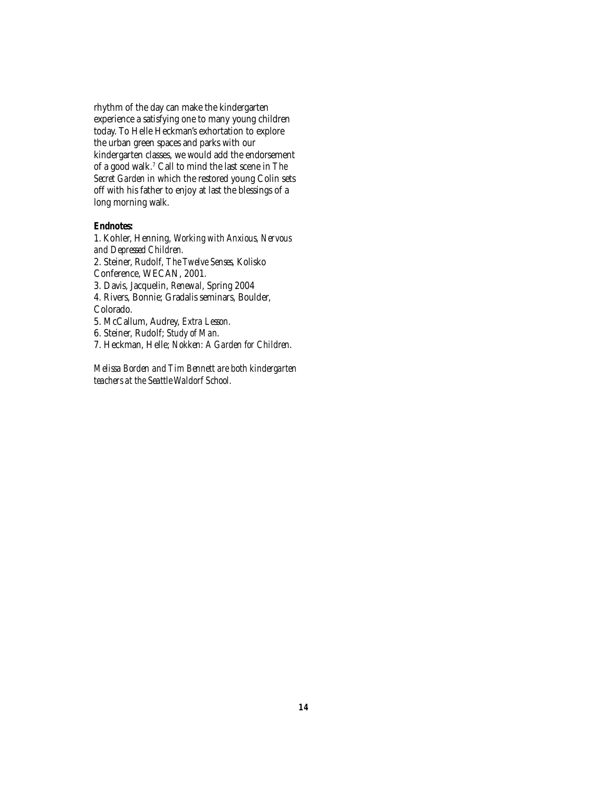rhythm of the day can make the kindergarten experience a satisfying one to many young children today. To Helle Heckman's exhortation to explore the urban green spaces and parks with our kindergarten classes, we would add the endorsement of a good walk.<sup>7</sup> Call to mind the last scene in *The Secret Garden* in which the restored young Colin sets off with his father to enjoy at last the blessings of a long morning walk.

#### **Endnotes:**

1. Kohler, Henning, *Working with Anxious, Nervous and Depressed Children*. 2. Steiner, Rudolf, *The Twelve Senses*, Kolisko

Conference, WECAN, 2001.

3. Davis, Jacquelin, *Renewal*, Spring 2004

4. Rivers, Bonnie; Gradalis seminars, Boulder, Colorado.

5. McCallum, Audrey, *Extra Lesson*.

6. Steiner, Rudolf; *Study of Man*.

7. Heckman, Helle; *Nokken: A Garden for Children*.

*Melissa Borden and Tim Bennett are both kindergarten teachers at the Seattle Waldorf School.*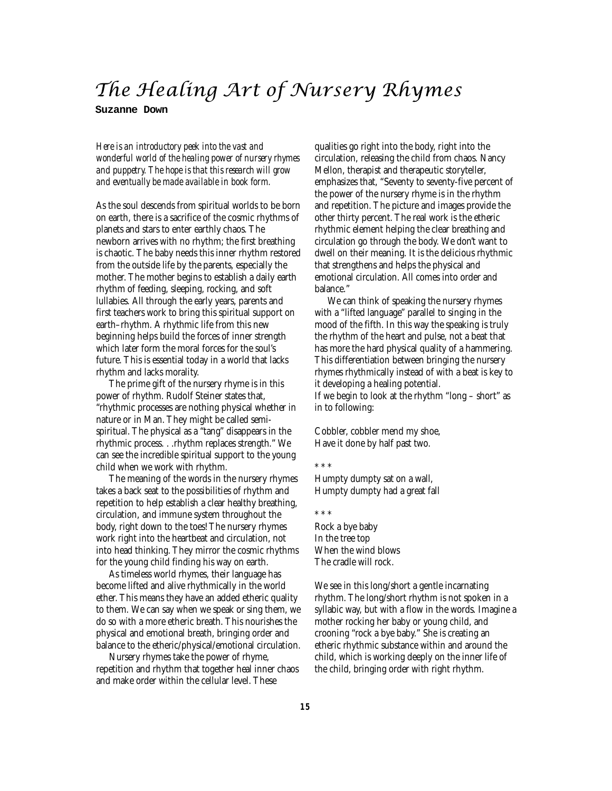## The Healing Art of Nursery Rhymes

#### **Suzanne Down**

*Here is an introductory peek into the vast and wonderful world of the healing power of nursery rhymes and puppetry. The hope is that this research will grow and eventually be made available in book form.*

As the soul descends from spiritual worlds to be born on earth, there is a sacrifice of the cosmic rhythms of planets and stars to enter earthly chaos. The newborn arrives with no rhythm; the first breathing is chaotic. The baby needs this inner rhythm restored from the outside life by the parents, especially the mother. The mother begins to establish a daily earth rhythm of feeding, sleeping, rocking, and soft lullabies. All through the early years, parents and first teachers work to bring this spiritual support on earth–rhythm. A rhythmic life from this new beginning helps build the forces of inner strength which later form the moral forces for the soul's future. This is essential today in a world that lacks rhythm and lacks morality.

The prime gift of the nursery rhyme is in this power of rhythm. Rudolf Steiner states that, "rhythmic processes are nothing physical whether in nature or in Man. They might be called semispiritual. The physical as a "tang" disappears in the rhythmic process. . .rhythm replaces strength." We can see the incredible spiritual support to the young child when we work with rhythm.

The meaning of the words in the nursery rhymes takes a back seat to the possibilities of rhythm and repetition to help establish a clear healthy breathing, circulation, and immune system throughout the body, right down to the toes! The nursery rhymes work right into the heartbeat and circulation, not into head thinking. They mirror the cosmic rhythms for the young child finding his way on earth.

As timeless world rhymes, their language has become lifted and alive rhythmically in the world ether. This means they have an added etheric quality to them. We can say when we speak or sing them, we do so with a more etheric breath. This nourishes the physical and emotional breath, bringing order and balance to the etheric/physical/emotional circulation.

Nursery rhymes take the power of rhyme, repetition and rhythm that together heal inner chaos and make order within the cellular level. These

qualities go right into the body, right into the circulation, releasing the child from chaos. Nancy Mellon, therapist and therapeutic storyteller, emphasizes that, "Seventy to seventy-five percent of the power of the nursery rhyme is in the rhythm and repetition. The picture and images provide the other thirty percent. The real work is the etheric rhythmic element helping the clear breathing and circulation go through the body. We don't want to dwell on their meaning. It is the delicious rhythmic that strengthens and helps the physical and emotional circulation. All comes into order and balance."

We can think of speaking the nursery rhymes with a "lifted language" parallel to singing in the mood of the fifth. In this way the speaking is truly the rhythm of the heart and pulse, not a beat that has more the hard physical quality of a hammering. This differentiation between bringing the nursery rhymes rhythmically instead of with a beat is key to it developing a healing potential. If we begin to look at the rhythm "long – short" as in to following:

Cobbler, cobbler mend my shoe, Have it done by half past two.

Humpty dumpty sat on a wall, Humpty dumpty had a great fall

\* \* \* Rock a bye baby In the tree top When the wind blows The cradle will rock.

\* \* \*

We see in this long/short a gentle incarnating rhythm. The long/short rhythm is not spoken in a syllabic way, but with a flow in the words. Imagine a mother rocking her baby or young child, and crooning "rock a bye baby." She is creating an etheric rhythmic substance within and around the child, which is working deeply on the inner life of the child, bringing order with right rhythm.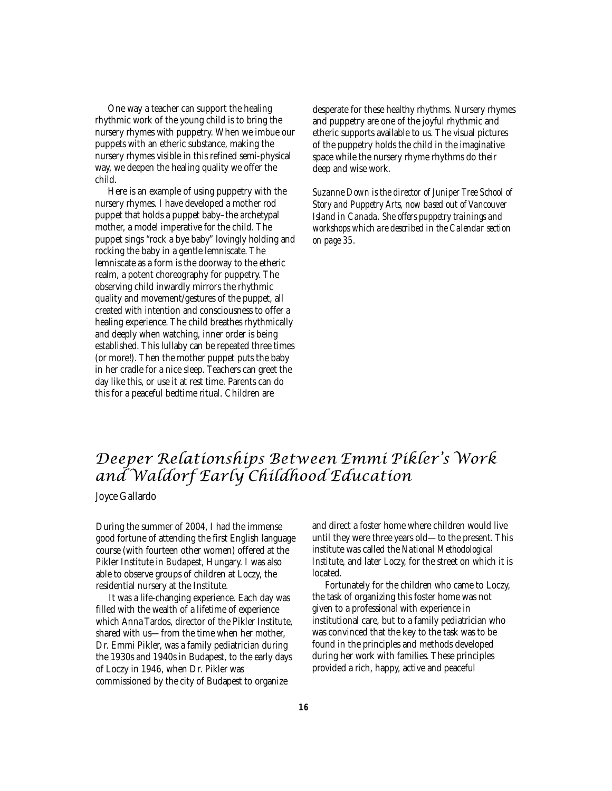One way a teacher can support the healing rhythmic work of the young child is to bring the nursery rhymes with puppetry. When we imbue our puppets with an etheric substance, making the nursery rhymes visible in this refined semi-physical way, we deepen the healing quality we offer the child.

Here is an example of using puppetry with the nursery rhymes. I have developed a mother rod puppet that holds a puppet baby–the archetypal mother, a model imperative for the child. The puppet sings "rock a bye baby" lovingly holding and rocking the baby in a gentle lemniscate. The lemniscate as a form is the doorway to the etheric realm, a potent choreography for puppetry. The observing child inwardly mirrors the rhythmic quality and movement/gestures of the puppet, all created with intention and consciousness to offer a healing experience. The child breathes rhythmically and deeply when watching, inner order is being established. This lullaby can be repeated three times (or more!). Then the mother puppet puts the baby in her cradle for a nice sleep. Teachers can greet the day like this, or use it at rest time. Parents can do this for a peaceful bedtime ritual. Children are

desperate for these healthy rhythms. Nursery rhymes and puppetry are one of the joyful rhythmic and etheric supports available to us. The visual pictures of the puppetry holds the child in the imaginative space while the nursery rhyme rhythms do their deep and wise work.

*Suzanne Down is the director of Juniper Tree School of Story and Puppetry Arts, now based out of Vancouver Island in Canada. She offers puppetry trainings and workshops which are described in the Calendar section on page 35.*

## Deeper Relationships Between Emmi Pikler's Work and Waldorf Early Childhood Education

Joyce Gallardo

During the summer of 2004, I had the immense good fortune of attending the first English language course (with fourteen other women) offered at the Pikler Institute in Budapest, Hungary. I was also able to observe groups of children at Loczy, the residential nursery at the Institute.

It was a life-changing experience. Each day was filled with the wealth of a lifetime of experience which Anna Tardos, director of the Pikler Institute, shared with us—from the time when her mother, Dr. Emmi Pikler, was a family pediatrician during the 1930s and 1940s in Budapest, to the early days of Loczy in 1946, when Dr. Pikler was commissioned by the city of Budapest to organize

and direct a foster home where children would live until they were three years old—to the present. This institute was called the *National Methodological Institute*, and later *Loczy,* for the street on which it is located.

Fortunately for the children who came to Loczy, the task of organizing this foster home was not given to a professional with experience in institutional care, but to a family pediatrician who was convinced that the key to the task was to be found in the principles and methods developed during her work with families. These principles provided a rich, happy, active and peaceful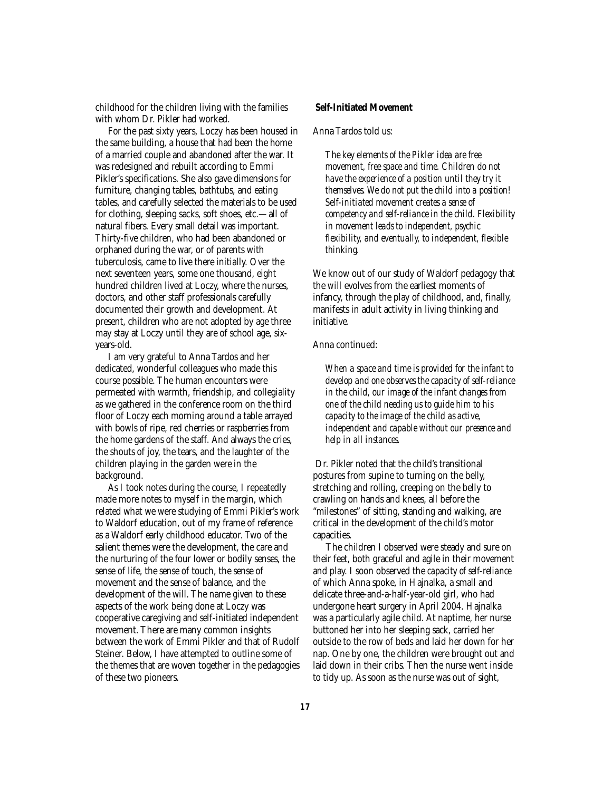childhood for the children living with the families with whom Dr. Pikler had worked.

For the past sixty years, Loczy has been housed in the same building, a house that had been the home of a married couple and abandoned after the war. It was redesigned and rebuilt according to Emmi Pikler's specifications. She also gave dimensions for furniture, changing tables, bathtubs, and eating tables, and carefully selected the materials to be used for clothing, sleeping sacks, soft shoes, etc.—all of natural fibers. Every small detail was important. Thirty-five children, who had been abandoned or orphaned during the war, or of parents with tuberculosis, came to live there initially. Over the next seventeen years, some one thousand, eight hundred children lived at Loczy, where the nurses, doctors, and other staff professionals carefully documented their growth and development. At present, children who are not adopted by age three may stay at Loczy until they are of school age, sixyears-old.

I am very grateful to Anna Tardos and her dedicated, wonderful colleagues who made this course possible. The human encounters were permeated with warmth, friendship, and collegiality as we gathered in the conference room on the third floor of Loczy each morning around a table arrayed with bowls of ripe, red cherries or raspberries from the home gardens of the staff. And always the cries, the shouts of joy, the tears, and the laughter of the children playing in the garden were in the background.

As I took notes during the course, I repeatedly made more notes to myself in the margin, which related what we were studying of Emmi Pikler's work to Waldorf education, out of my frame of reference as a Waldorf early childhood educator. Two of the salient themes were the development, the care and the nurturing of the four lower or bodily senses, the sense of life, the sense of touch, the sense of movement and the sense of balance, and the development of the will. The name given to these aspects of the work being done at Loczy was cooperative caregiving and self-initiated independent movement. There are many common insights between the work of Emmi Pikler and that of Rudolf Steiner. Below, I have attempted to outline some of the themes that are woven together in the pedagogies of these two pioneers.

#### *Self-Initiated Movement*

#### Anna Tardos told us:

*The key elements of the Pikler idea are free movement, free space and time. Children do not have the experience of a position until they try it themselves. We do not put the child into a position! Self-initiated movement creates a sense of competency and self-reliance in the child. Flexibility in movement leads to independent, psychic flexibility, and eventually, to independent, flexible thinking.*

We know out of our study of Waldorf pedagogy that the *will* evolves from the earliest moments of infancy, through the play of childhood, and, finally, manifests in adult activity in living thinking and initiative.

#### Anna continued:

*When a space and time is provided for the infant to develop and one observes the capacity of self-reliance in the child, our image of the infant changes from one of the child needing us to guide him to his capacity to the image of the child as active, independent and capable without our presence and help in all instances.*

 Dr. Pikler noted that the child's transitional postures from supine to turning on the belly, stretching and rolling, creeping on the belly to crawling on hands and knees, all before the "milestones" of sitting, standing and walking, are critical in the development of the child's motor capacities.

The children I observed were steady and sure on their feet, both graceful and agile in their movement and play. I soon observed the *capacity of self-reliance* of which Anna spoke, in Hajnalka, a small and delicate three-and-a-half-year-old girl, who had undergone heart surgery in April 2004. Hajnalka was a particularly agile child. At naptime, her nurse buttoned her into her sleeping sack, carried her outside to the row of beds and laid her down for her nap. One by one, the children were brought out and laid down in their cribs. Then the nurse went inside to tidy up. As soon as the nurse was out of sight,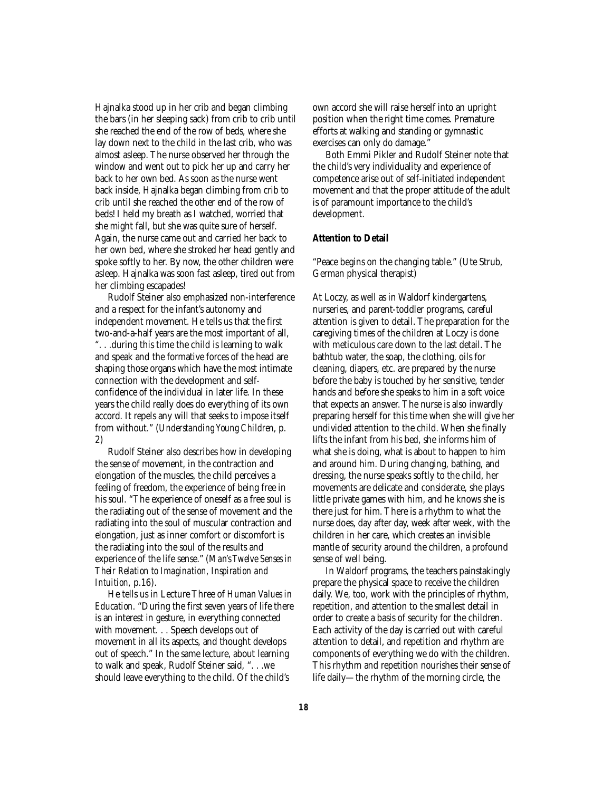Hajnalka stood up in her crib and began climbing the bars (in her sleeping sack) from crib to crib until she reached the end of the row of beds, where she lay down next to the child in the last crib, who was almost asleep. The nurse observed her through the window and went out to pick her up and carry her back to her own bed. As soon as the nurse went back inside, Hajnalka began climbing from crib to crib until she reached the other end of the row of beds! I held my breath as I watched, worried that she might fall, but she was quite sure of herself. Again, the nurse came out and carried her back to her own bed, where she stroked her head gently and spoke softly to her. By now, the other children were asleep. Hajnalka was soon fast asleep, tired out from her climbing escapades!

Rudolf Steiner also emphasized non-interference and a respect for the infant's autonomy and independent movement. He tells us that the first two-and-a-half years are the most important of all, ". . .during this time the child is learning to walk and speak and the formative forces of the head are shaping those organs which have the most intimate connection with the development and selfconfidence of the individual in later life. In these years the child really does do everything of its own accord. It repels any will that seeks to impose itself from without." (*Understanding Young Children*, p. 2)

Rudolf Steiner also describes how in developing the sense of movement, in the contraction and elongation of the muscles, the child perceives a feeling of freedom, the experience of being free in his soul. "The experience of oneself as a free soul is the radiating out of the sense of movement and the radiating into the soul of muscular contraction and elongation, just as inner comfort or discomfort is the radiating into the soul of the results and experience of the life sense." (*Man's Twelve Senses in Their Relation to Imagination, Inspiration and Intuition,* p.16).

He tells us in Lecture Three of *Human Values in Education*. "During the first seven years of life there is an interest in gesture, in everything connected with movement. . . Speech develops out of movement in all its aspects, and thought develops out of speech." In the same lecture, about learning to walk and speak, Rudolf Steiner said, ". . .we should leave everything to the child. Of the child's

own accord she will raise herself into an upright position when the right time comes. Premature efforts at walking and standing or gymnastic exercises can only do damage."

Both Emmi Pikler and Rudolf Steiner note that the child's very individuality and experience of competence arise out of self-initiated independent movement and that the proper attitude of the adult is of paramount importance to the child's development.

#### *Attention to Detail*

"Peace begins on the changing table." (Ute Strub, German physical therapist)

At Loczy, as well as in Waldorf kindergartens, nurseries, and parent-toddler programs, careful attention is given to detail. The preparation for the caregiving times of the children at Loczy is done with meticulous care down to the last detail. The bathtub water, the soap, the clothing, oils for cleaning, diapers, etc. are prepared by the nurse before the baby is touched by her sensitive, tender hands and before she speaks to him in a soft voice that expects an answer. The nurse is also inwardly preparing herself for this time when she will give her undivided attention to the child. When she finally lifts the infant from his bed, she informs him of what she is doing, what is about to happen to him and around him. During changing, bathing, and dressing, the nurse speaks softly to the child, her movements are delicate and considerate, she plays little private games with him, and he knows she is there just for him. There is a rhythm to what the nurse does, day after day, week after week, with the children in her care, which creates an invisible mantle of security around the children, a profound sense of well being.

In Waldorf programs, the teachers painstakingly prepare the physical space to receive the children daily. We, too, work with the principles of rhythm, repetition, and attention to the smallest detail in order to create a basis of security for the children. Each activity of the day is carried out with careful attention to detail, and repetition and rhythm are components of everything we do with the children. This rhythm and repetition nourishes their sense of life daily—the rhythm of the morning circle, the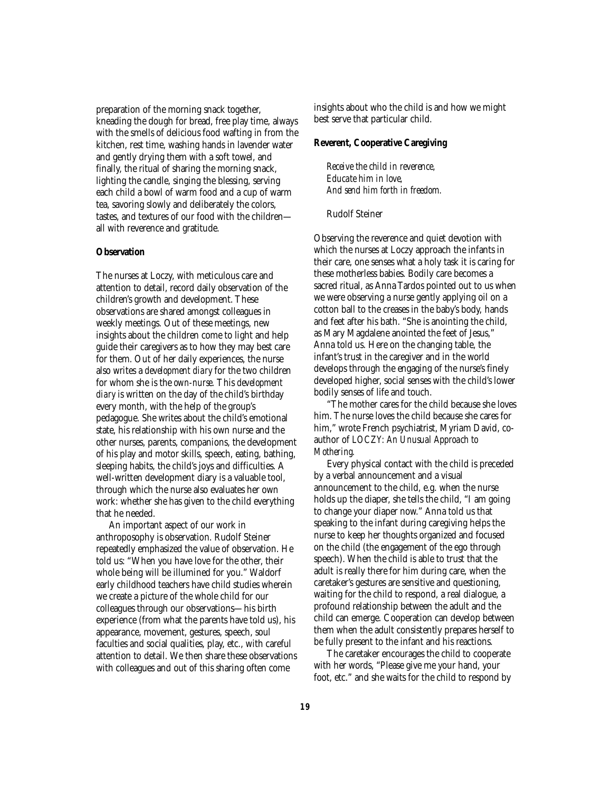preparation of the morning snack together, kneading the dough for bread, free play time, always with the smells of delicious food wafting in from the kitchen, rest time, washing hands in lavender water and gently drying them with a soft towel, and finally, the ritual of sharing the morning snack, lighting the candle, singing the blessing, serving each child a bowl of warm food and a cup of warm tea, savoring slowly and deliberately the colors, tastes, and textures of our food with the children all with reverence and gratitude.

#### *Observation*

The nurses at Loczy, with meticulous care and attention to detail, record daily observation of the children's growth and development. These observations are shared amongst colleagues in weekly meetings. Out of these meetings, new insights about the children come to light and help guide their caregivers as to how they may best care for them. Out of her daily experiences, the nurse also writes a *development diary* for the two children for whom she is the *own-nurse.* This *development diary* is written on the day of the child's birthday every month, with the help of the group's pedagogue. She writes about the child's emotional state, his relationship with his own nurse and the other nurses, parents, companions, the development of his play and motor skills, speech, eating, bathing, sleeping habits, the child's joys and difficulties. A well-written development diary is a valuable tool, through which the nurse also evaluates her own work: whether she has given to the child everything that he needed.

An important aspect of our work in anthroposophy is observation. Rudolf Steiner repeatedly emphasized the value of observation. He told us: "When you have love for the other, their whole being will be illumined for you." Waldorf early childhood teachers have child studies wherein we create a picture of the whole child for our colleagues through our observations—his birth experience (from what the parents have told us), his appearance, movement, gestures, speech, soul faculties and social qualities, play, etc., with careful attention to detail. We then share these observations with colleagues and out of this sharing often come

insights about who the child is and how we might best serve that particular child.

#### *Reverent, Cooperative Caregiving*

*Receive the child in reverence, Educate him in love, And send him forth in freedom.*

#### Rudolf Steiner

Observing the reverence and quiet devotion with which the nurses at Loczy approach the infants in their care, one senses what a holy task it is caring for these motherless babies. Bodily care becomes a sacred ritual, as Anna Tardos pointed out to us when we were observing a nurse gently applying oil on a cotton ball to the creases in the baby's body, hands and feet after his bath. "She is anointing the child, as Mary Magdalene anointed the feet of Jesus," Anna told us. Here on the changing table, the infant's trust in the caregiver and in the world develops through the engaging of the nurse's finely developed higher, social senses with the child's lower bodily senses of life and touch.

"The mother cares for the child because she loves him. The nurse loves the child because she cares for him," wrote French psychiatrist, Myriam David, coauthor of *LOCZY: An Unusual Approach to Mothering.*

Every physical contact with the child is preceded by a verbal announcement and a visual announcement to the child, e.g. when the nurse holds up the diaper, she tells the child, "I am going to change your diaper now." Anna told us that speaking to the infant during caregiving helps the nurse to keep her thoughts organized and focused on the child (the engagement of the ego through speech). When the child is able to trust that the adult is really there for him during care, when the caretaker's gestures are sensitive and questioning, waiting for the child to respond, a real dialogue, a profound relationship between the adult and the child can emerge. Cooperation can develop between them when the adult consistently prepares herself to be fully present to the infant and his reactions.

The caretaker encourages the child to cooperate with her words, "Please give me your hand, your foot, etc." and she waits for the child to respond by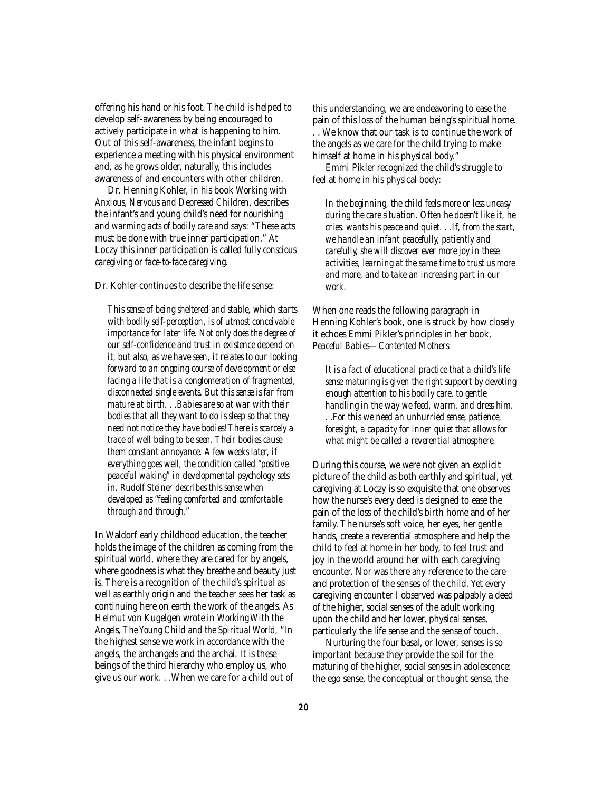offering his hand or his foot. The child is helped to develop self-awareness by being encouraged to actively participate in what is happening to him. Out of this self-awareness, the infant begins to experience a meeting with his physical environment and, as he grows older, naturally, this includes awareness of and encounters with other children.

Dr. Henning Kohler, in his book *Working with Anxious, Nervous and Depressed Children*, describes the infant's and young child's need for *nourishing and warming acts of bodily care* and says: "These acts must be done with true inner participation." At Loczy this inner participation is called *fully conscious caregiving* or *face-to-face caregiving.*

Dr. Kohler continues to describe the life sense:

*This sense of being sheltered and stable, which starts with bodily self-perception, is of utmost conceivable importance for later life. Not only does the degree of our self-confidence and trust in existence depend on it, but also, as we have seen, it relates to our looking forward to an ongoing course of development or else facing a life that is a conglomeration of fragmented, disconnected single events. But this sense is far from mature at birth. . .Babies are so at war with their bodies that all they want to do is sleep so that they need not notice they have bodies! There is scarcely a trace of well being to be seen. Their bodies cause them constant annoyance. A few weeks later, if everything goes well, the condition called "positive peaceful waking" in developmental psychology sets in. Rudolf Steiner describes this sense when developed as "feeling comforted and comfortable through and through."*

In Waldorf early childhood education, the teacher holds the image of the children as coming from the spiritual world, where they are cared for by angels, where goodness is what they breathe and beauty just is. There is a recognition of the child's spiritual as well as earthly origin and the teacher sees her task as continuing here on earth the work of the angels. As Helmut von Kugelgen wrote in *Working With the Angels, The Young Child and the Spiritual World,* "In the highest sense we work in accordance with the angels, the archangels and the archai. It is these beings of the third hierarchy who employ us, who give us our work. . .When we care for a child out of

this understanding, we are endeavoring to ease the pain of this loss of the human being's spiritual home. . . We know that our task is to continue the work of the angels as we care for the child trying to make himself at home in his physical body."

Emmi Pikler recognized the child's struggle to feel at home in his physical body:

*In the beginning, the child feels more or less uneasy during the care situation. Often he doesn't like it, he cries, wants his peace and quiet. . .If, from the start, we handle an infant peacefully, patiently and carefully, she will discover ever more joy in these activities, learning at the same time to trust us more and more, and to take an increasing part in our work.*

When one reads the following paragraph in Henning Kohler's book, one is struck by how closely it echoes Emmi Pikler's principles in her book, *Peaceful Babies*—*Contented Mothers:*

*It is a fact of educational practice that a child's life sense maturing is given the right support by devoting enough attention to his bodily care, to gentle handling in the way we feed, warm, and dress him. . .For this we need an unhurried sense, patience, foresight, a capacity for inner quiet that allows for what might be called a reverential atmosphere.*

During this course, we were not given an explicit picture of the child as both earthly and spiritual, yet caregiving at Loczy is so exquisite that one observes how the nurse's every deed is designed to ease the pain of the loss of the child's birth home and of her family. The nurse's soft voice, her eyes, her gentle hands, create a reverential atmosphere and help the child to feel at home in her body, to feel trust and joy in the world around her with each caregiving encounter. Nor was there any reference to the care and protection of the senses of the child. Yet every caregiving encounter I observed was palpably a deed of the higher, social senses of the adult working upon the child and her lower, physical senses, particularly the life sense and the sense of touch.

Nurturing the four basal, or lower, senses is so important because they provide the soil for the maturing of the higher, social senses in adolescence: the ego sense, the conceptual or thought sense, the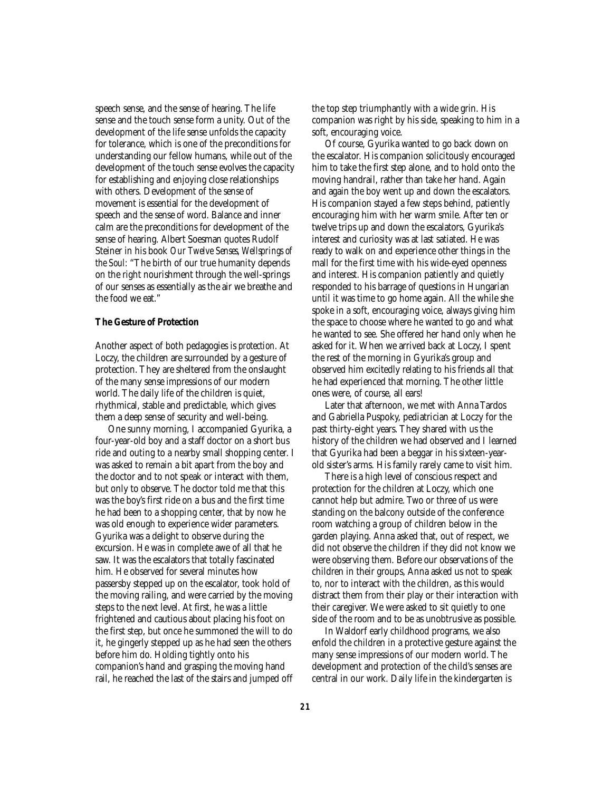speech sense, and the sense of hearing. The life sense and the touch sense form a unity. Out of the development of the life sense unfolds the capacity for tolerance, which is one of the preconditions for understanding our fellow humans, while out of the development of the touch sense evolves the capacity for establishing and enjoying close relationships with others. Development of the sense of movement is essential for the development of speech and the sense of word. Balance and inner calm are the preconditions for development of the sense of hearing. Albert Soesman quotes Rudolf Steiner in his book *Our Twelve Senses, Wellsprings of the Soul:* "The birth of our true humanity depends on the right nourishment through the well-springs of our senses as essentially as the air we breathe and the food we eat."

#### *The Gesture of Protection*

Another aspect of both pedagogies is *protection*. At Loczy, the children are surrounded by a gesture of protection. They are sheltered from the onslaught of the many sense impressions of our modern world. The daily life of the children is quiet, rhythmical, stable and predictable, which gives them a deep sense of security and well-being.

One sunny morning, I accompanied Gyurika, a four-year-old boy and a staff doctor on a short bus ride and outing to a nearby small shopping center. I was asked to remain a bit apart from the boy and the doctor and to not speak or interact with them, but only to observe. The doctor told me that this was the boy's first ride on a bus and the first time he had been to a shopping center, that by now he was old enough to experience wider parameters. Gyurika was a delight to observe during the excursion. He was in complete awe of all that he saw. It was the escalators that totally fascinated him. He observed for several minutes how passersby stepped up on the escalator, took hold of the moving railing, and were carried by the moving steps to the next level. At first, he was a little frightened and cautious about placing his foot on the first step, but once he summoned the will to do it, he gingerly stepped up as he had seen the others before him do. Holding tightly onto his companion's hand and grasping the moving hand rail, he reached the last of the stairs and jumped off

the top step triumphantly with a wide grin. His companion was right by his side, speaking to him in a soft, encouraging voice.

Of course, Gyurika wanted to go back down on the escalator. His companion solicitously encouraged him to take the first step alone, and to hold onto the moving handrail, rather than take her hand. Again and again the boy went up and down the escalators. His companion stayed a few steps behind, patiently encouraging him with her warm smile. After ten or twelve trips up and down the escalators, Gyurika's interest and curiosity was at last satiated. He was ready to walk on and experience other things in the mall for the first time with his wide-eyed openness and interest. His companion patiently and quietly responded to his barrage of questions in Hungarian until it was time to go home again. All the while she spoke in a soft, encouraging voice, always giving him the space to choose where he wanted to go and what he wanted to see. She offered her hand only when he asked for it. When we arrived back at Loczy, I spent the rest of the morning in Gyurika's group and observed him excitedly relating to his friends all that he had experienced that morning. The other little ones were, of course, all ears!

Later that afternoon, we met with Anna Tardos and Gabriella Puspoky, pediatrician at Loczy for the past thirty-eight years. They shared with us the history of the children we had observed and I learned that Gyurika had been a beggar in his sixteen-yearold sister's arms. His family rarely came to visit him.

There is a high level of conscious respect and protection for the children at Loczy, which one cannot help but admire. Two or three of us were standing on the balcony outside of the conference room watching a group of children below in the garden playing. Anna asked that, out of respect, we did not observe the children if they did not know we were observing them. Before our observations of the children in their groups, Anna asked us not to speak to, nor to interact with the children, as this would distract them from their play or their interaction with their caregiver. We were asked to sit quietly to one side of the room and to be as unobtrusive as possible.

In Waldorf early childhood programs, we also enfold the children in a protective gesture against the many sense impressions of our modern world. The development and protection of the child's senses are central in our work. Daily life in the kindergarten is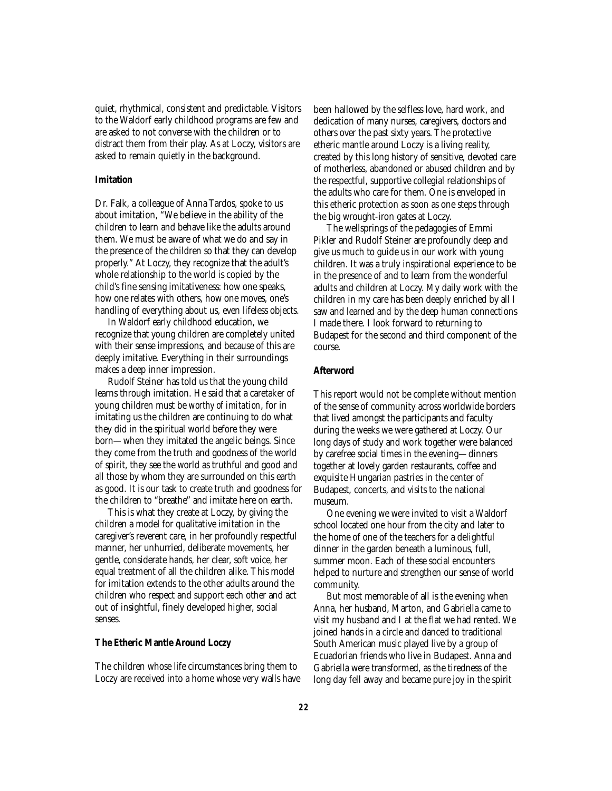quiet, rhythmical, consistent and predictable. Visitors to the Waldorf early childhood programs are few and are asked to not converse with the children or to distract them from their play. As at Loczy, visitors are asked to remain quietly in the background.

#### *Imitation*

Dr. Falk, a colleague of Anna Tardos, spoke to us about imitation, "We believe in the ability of the children to learn and behave like the adults around them. We must be aware of what we do and say in the presence of the children so that they can develop properly." At Loczy, they recognize that the adult's whole relationship to the world is copied by the child's fine sensing imitativeness: how one speaks, how one relates with others, how one moves, one's handling of everything about us, even lifeless objects.

In Waldorf early childhood education, we recognize that young children are completely united with their sense impressions, and because of this are deeply imitative. Everything in their surroundings makes a deep inner impression.

Rudolf Steiner has told us that the young child learns through imitation. He said that a caretaker of young children must be *worthy of imitation*, for in imitating us the children are continuing to do what they did in the spiritual world before they were born—when they imitated the angelic beings. Since they come from the truth and goodness of the world of spirit, they see the world as truthful and good and all those by whom they are surrounded on this earth as good. It is our task to create truth and goodness for the children to "breathe" and imitate here on earth.

This is what they create at Loczy, by giving the children a model for qualitative imitation in the caregiver's reverent care, in her profoundly respectful manner, her unhurried, deliberate movements, her gentle, considerate hands, her clear, soft voice, her equal treatment of all the children alike. This model for imitation extends to the other adults around the children who respect and support each other and act out of insightful, finely developed higher, social senses.

#### *The Etheric Mantle Around Loczy*

The children whose life circumstances bring them to Loczy are received into a home whose very walls have been hallowed by the selfless love, hard work, and dedication of many nurses, caregivers, doctors and others over the past sixty years. The protective etheric mantle around Loczy is a living reality, created by this long history of sensitive, devoted care of motherless, abandoned or abused children and by the respectful, supportive collegial relationships of the adults who care for them. One is enveloped in this etheric protection as soon as one steps through the big wrought-iron gates at Loczy.

The wellsprings of the pedagogies of Emmi Pikler and Rudolf Steiner are profoundly deep and give us much to guide us in our work with young children. It was a truly inspirational experience to be in the presence of and to learn from the wonderful adults and children at Loczy. My daily work with the children in my care has been deeply enriched by all I saw and learned and by the deep human connections I made there. I look forward to returning to Budapest for the second and third component of the course.

#### *Afterword*

This report would not be complete without mention of the sense of community across worldwide borders that lived amongst the participants and faculty during the weeks we were gathered at Loczy. Our long days of study and work together were balanced by carefree social times in the evening—dinners together at lovely garden restaurants, coffee and exquisite Hungarian pastries in the center of Budapest, concerts, and visits to the national museum.

One evening we were invited to visit a Waldorf school located one hour from the city and later to the home of one of the teachers for a delightful dinner in the garden beneath a luminous, full, summer moon. Each of these social encounters helped to nurture and strengthen our sense of world community.

But most memorable of all is the evening when Anna, her husband, Marton, and Gabriella came to visit my husband and I at the flat we had rented. We joined hands in a circle and danced to traditional South American music played live by a group of Ecuadorian friends who live in Budapest. Anna and Gabriella were transformed, as the tiredness of the long day fell away and became pure joy in the spirit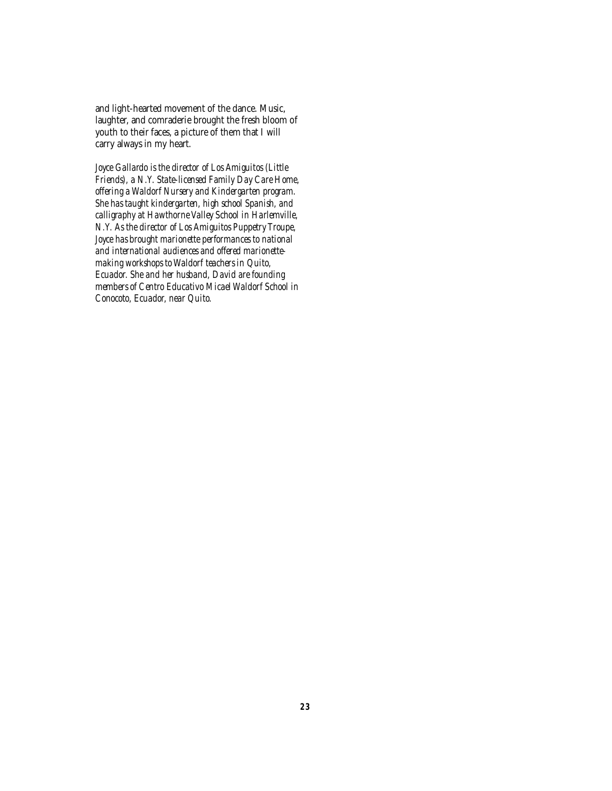and light-hearted movement of the dance. Music, laughter, and comraderie brought the fresh bloom of youth to their faces, a picture of them that I will carry always in my heart.

*Joyce Gallardo is the director of Los Amiguitos (Little Friends), a N.Y. State-licensed Family Day Care Home, offering a Waldorf Nursery and Kindergarten program. She has taught kindergarten, high school Spanish, and calligraphy at Hawthorne Valley School in Harlemville, N.Y. As the director of Los Amiguitos Puppetry Troupe, Joyce has brought marionette performances to national and international audiences and offered marionettemaking workshops to Waldorf teachers in Quito, Ecuador. She and her husband, David are founding members of Centro Educativo Micael Waldorf School in Conocoto, Ecuador, near Quito.*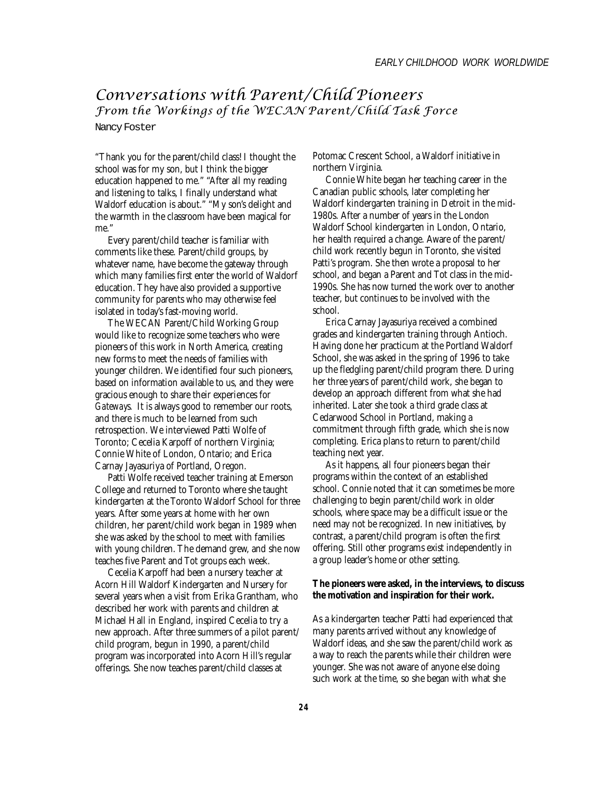### Conversations with Parent/Child Pioneers From the Workings of the WECAN Parent/Child Task Force Nancy Foster

"Thank you for the parent/child class! I thought the school was for my son, but I think the bigger education happened to me." "After all my reading and listening to talks, I finally understand what Waldorf education is about." "My son's delight and the warmth in the classroom have been magical for me."

Every parent/child teacher is familiar with comments like these. Parent/child groups, by whatever name, have become the gateway through which many families first enter the world of Waldorf education. They have also provided a supportive community for parents who may otherwise feel isolated in today's fast-moving world.

The WECAN Parent/Child Working Group would like to recognize some teachers who were pioneers of this work in North America, creating new forms to meet the needs of families with younger children. We identified four such pioneers, based on information available to us, and they were gracious enough to share their experiences for *Gateways.* It is always good to remember our roots, and there is much to be learned from such retrospection. We interviewed Patti Wolfe of Toronto; Cecelia Karpoff of northern Virginia; Connie White of London, Ontario; and Erica Carnay Jayasuriya of Portland, Oregon.

Patti Wolfe received teacher training at Emerson College and returned to Toronto where she taught kindergarten at the Toronto Waldorf School for three years. After some years at home with her own children, her parent/child work began in 1989 when she was asked by the school to meet with families with young children. The demand grew, and she now teaches five Parent and Tot groups each week.

Cecelia Karpoff had been a nursery teacher at Acorn Hill Waldorf Kindergarten and Nursery for several years when a visit from Erika Grantham, who described her work with parents and children at Michael Hall in England, inspired Cecelia to try a new approach. After three summers of a pilot parent/ child program, begun in 1990, a parent/child program was incorporated into Acorn Hill's regular offerings. She now teaches parent/child classes at

Potomac Crescent School, a Waldorf initiative in northern Virginia.

Connie White began her teaching career in the Canadian public schools, later completing her Waldorf kindergarten training in Detroit in the mid-1980s. After a number of years in the London Waldorf School kindergarten in London, Ontario, her health required a change. Aware of the parent/ child work recently begun in Toronto, she visited Patti's program. She then wrote a proposal to her school, and began a Parent and Tot class in the mid-1990s. She has now turned the work over to another teacher, but continues to be involved with the school.

Erica Carnay Jayasuriya received a combined grades and kindergarten training through Antioch. Having done her practicum at the Portland Waldorf School, she was asked in the spring of 1996 to take up the fledgling parent/child program there. During her three years of parent/child work, she began to develop an approach different from what she had inherited. Later she took a third grade class at Cedarwood School in Portland, making a commitment through fifth grade, which she is now completing. Erica plans to return to parent/child teaching next year.

As it happens, all four pioneers began their programs within the context of an established school. Connie noted that it can sometimes be more challenging to begin parent/child work in older schools, where space may be a difficult issue or the need may not be recognized. In new initiatives, by contrast, a parent/child program is often the first offering. Still other programs exist independently in a group leader's home or other setting.

#### *The pioneers were asked, in the interviews, to discuss the motivation and inspiration for their work.*

As a kindergarten teacher Patti had experienced that many parents arrived without any knowledge of Waldorf ideas, and she saw the parent/child work as a way to reach the parents while their children were younger. She was not aware of anyone else doing such work at the time, so she began with what she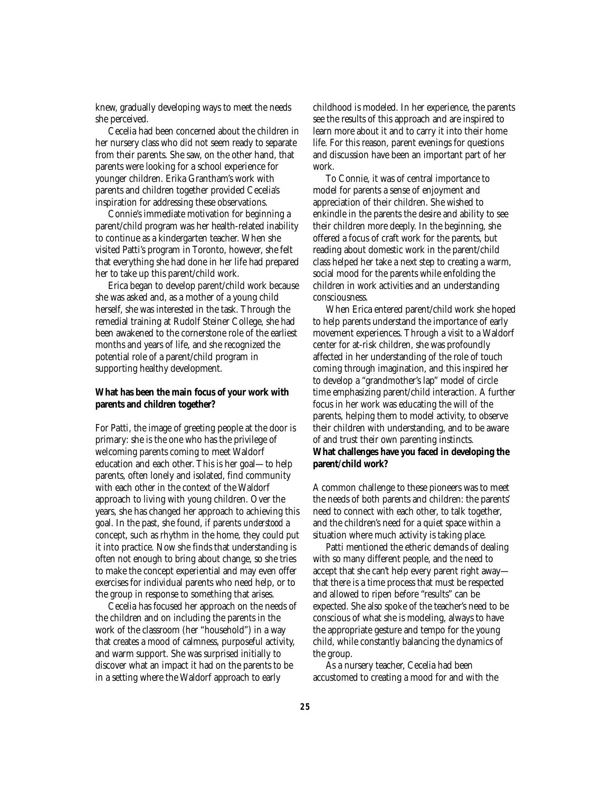knew, gradually developing ways to meet the needs she perceived.

Cecelia had been concerned about the children in her nursery class who did not seem ready to separate from their parents. She saw, on the other hand, that parents were looking for a school experience for younger children. Erika Grantham's work with parents and children together provided Cecelia's inspiration for addressing these observations.

Connie's immediate motivation for beginning a parent/child program was her health-related inability to continue as a kindergarten teacher. When she visited Patti's program in Toronto, however, she felt that everything she had done in her life had prepared her to take up this parent/child work.

Erica began to develop parent/child work because she was asked and, as a mother of a young child herself, she was interested in the task. Through the remedial training at Rudolf Steiner College, she had been awakened to the cornerstone role of the earliest months and years of life, and she recognized the potential role of a parent/child program in supporting healthy development.

#### *What has been the main focus of your work with parents and children together?*

For Patti, the image of greeting people at the door is primary: she is the one who has the privilege of welcoming parents coming to meet Waldorf education and each other. This is her goal—to help parents, often lonely and isolated, find community with each other in the context of the Waldorf approach to living with young children. Over the years, she has changed her approach to achieving this goal. In the past, she found, if parents *understood* a concept, such as rhythm in the home, they could put it into practice. Now she finds that understanding is often not enough to bring about change, so she tries to make the concept experiential and may even offer exercises for individual parents who need help, or to the group in response to something that arises.

Cecelia has focused her approach on the needs of the children and on including the parents in the work of the classroom (her "household") in a way that creates a mood of calmness, purposeful activity, and warm support. She was surprised initially to discover what an impact it had on the parents to be in a setting where the Waldorf approach to early

childhood is modeled. In her experience, the parents see the results of this approach and are inspired to learn more about it and to carry it into their home life. For this reason, parent evenings for questions and discussion have been an important part of her work.

To Connie, it was of central importance to model for parents a sense of enjoyment and appreciation of their children. She wished to enkindle in the parents the desire and ability to see their children more deeply. In the beginning, she offered a focus of craft work for the parents, but reading about domestic work in the parent/child class helped her take a next step to creating a warm, social mood for the parents while enfolding the children in work activities and an understanding consciousness.

When Erica entered parent/child work she hoped to help parents understand the importance of early movement experiences. Through a visit to a Waldorf center for at-risk children, she was profoundly affected in her understanding of the role of touch coming through imagination, and this inspired her to develop a "grandmother's lap" model of circle time emphasizing parent/child interaction. A further focus in her work was educating the will of the parents, helping them to model activity, to observe their children with understanding, and to be aware of and trust their own parenting instincts. *What challenges have you faced in developing the parent/child work?*

A common challenge to these pioneers was to meet the needs of both parents and children: the parents' need to connect with each other, to talk together, and the children's need for a quiet space within a situation where much activity is taking place.

Patti mentioned the etheric demands of dealing with so many different people, and the need to accept that she can't help every parent right away that there is a time process that must be respected and allowed to ripen before "results" can be expected. She also spoke of the teacher's need to be conscious of what she is modeling, always to have the appropriate gesture and tempo for the young child, while constantly balancing the dynamics of the group.

As a nursery teacher, Cecelia had been accustomed to creating a mood for and with the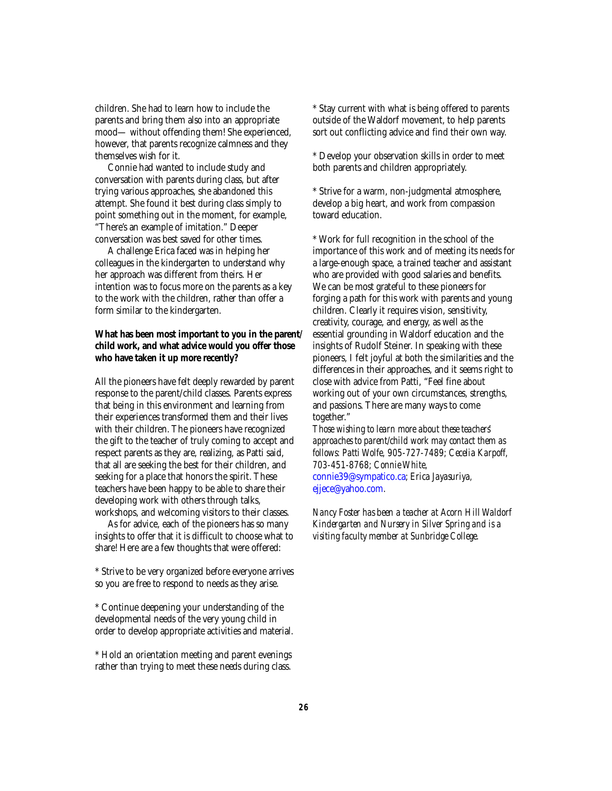children. She had to learn how to include the parents and bring them also into an appropriate mood— without offending them! She experienced, however, that parents recognize calmness and they themselves wish for it.

Connie had wanted to include study and conversation with parents during class, but after trying various approaches, she abandoned this attempt. She found it best during class simply to point something out in the moment, for example, "There's an example of imitation." Deeper conversation was best saved for other times.

A challenge Erica faced was in helping her colleagues in the kindergarten to understand why her approach was different from theirs. Her intention was to focus more on the parents as a key to the work with the children, rather than offer a form similar to the kindergarten.

#### *What has been most important to you in the parent/ child work, and what advice would you offer those who have taken it up more recently?*

All the pioneers have felt deeply rewarded by parent response to the parent/child classes. Parents express that being in this environment and learning from their experiences transformed them and their lives with their children. The pioneers have recognized the gift to the teacher of truly coming to accept and respect parents as they are, realizing, as Patti said, that all are seeking the best for their children, and seeking for a place that honors the spirit. These teachers have been happy to be able to share their developing work with others through talks, workshops, and welcoming visitors to their classes.

As for advice, each of the pioneers has so many insights to offer that it is difficult to choose what to share! Here are a few thoughts that were offered:

\* Strive to be very organized before everyone arrives so you are free to respond to needs as they arise.

\* Continue deepening your understanding of the developmental needs of the very young child in order to develop appropriate activities and material.

\* Hold an orientation meeting and parent evenings rather than trying to meet these needs during class.

\* Stay current with what is being offered to parents outside of the Waldorf movement, to help parents sort out conflicting advice and find their own way.

\* Develop your observation skills in order to meet both parents and children appropriately.

\* Strive for a warm, non-judgmental atmosphere, develop a big heart, and work from compassion toward education.

\* Work for full recognition in the school of the importance of this work and of meeting its needs for a large-enough space, a trained teacher and assistant who are provided with good salaries and benefits. We can be most grateful to these pioneers for forging a path for this work with parents and young children. Clearly it requires vision, sensitivity, creativity, courage, and energy, as well as the essential grounding in Waldorf education and the insights of Rudolf Steiner. In speaking with these pioneers, I felt joyful at both the similarities and the differences in their approaches, and it seems right to close with advice from Patti, "Feel fine about working out of your own circumstances, strengths, and passions. There are many ways to come together."

*Those wishing to learn more about these teachers' approaches to parent/child work may contact them as follows: Patti Wolfe, 905-727-7489; Cecelia Karpoff, 703-451-8768; Connie White,* connie39@sympatico.ca*; Erica Jayasuriya,* ejjece@yahoo.com*.*

*Nancy Foster has been a teacher at Acorn Hill Waldorf Kindergarten and Nursery in Silver Spring and is a visiting faculty member at Sunbridge College.*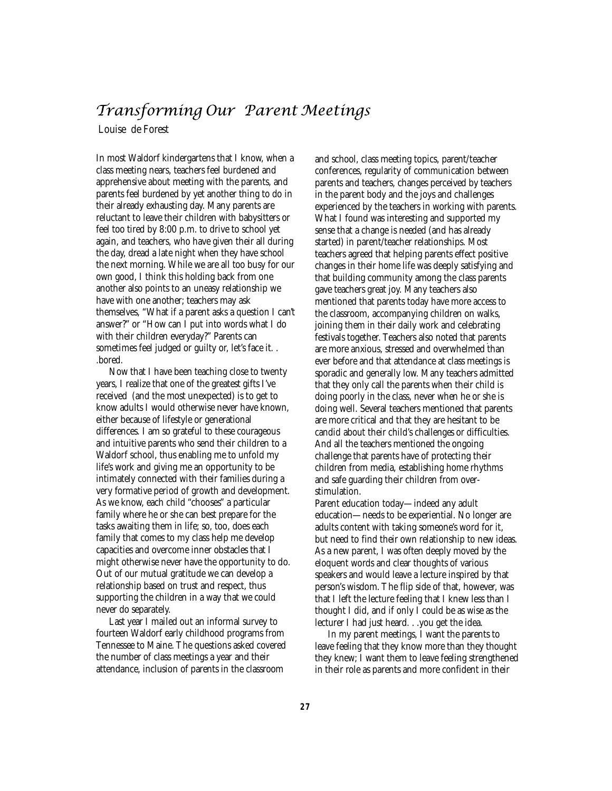## Transforming Our Parent Meetings

Louise de Forest

In most Waldorf kindergartens that I know, when a class meeting nears, teachers feel burdened and apprehensive about meeting with the parents, and parents feel burdened by yet another thing to do in their already exhausting day. Many parents are reluctant to leave their children with babysitters or feel too tired by 8:00 p.m. to drive to school yet again, and teachers, who have given their all during the day, dread a late night when they have school the next morning. While we are all too busy for our own good, I think this holding back from one another also points to an uneasy relationship we have with one another; teachers may ask themselves, "What if a parent asks a question I can't answer?" or "How can I put into words what I do with their children everyday?" Parents can sometimes feel judged or guilty or, let's face it. . .bored.

Now that I have been teaching close to twenty years, I realize that one of the greatest gifts I've received (and the most unexpected) is to get to know adults I would otherwise never have known, either because of lifestyle or generational differences. I am so grateful to these courageous and intuitive parents who send their children to a Waldorf school, thus enabling me to unfold my life's work and giving me an opportunity to be intimately connected with their families during a very formative period of growth and development. As we know, each child "chooses" a particular family where he or she can best prepare for the tasks awaiting them in life; so, too, does each family that comes to my class help me develop capacities and overcome inner obstacles that I might otherwise never have the opportunity to do. Out of our mutual gratitude we can develop a relationship based on trust and respect, thus supporting the children in a way that we could never do separately.

Last year I mailed out an informal survey to fourteen Waldorf early childhood programs from Tennessee to Maine. The questions asked covered the number of class meetings a year and their attendance, inclusion of parents in the classroom

and school, class meeting topics, parent/teacher conferences, regularity of communication between parents and teachers, changes perceived by teachers in the parent body and the joys and challenges experienced by the teachers in working with parents. What I found was interesting and supported my sense that a change is needed (and has already started) in parent/teacher relationships. Most teachers agreed that helping parents effect positive changes in their home life was deeply satisfying and that building community among the class parents gave teachers great joy. Many teachers also mentioned that parents today have more access to the classroom, accompanying children on walks, joining them in their daily work and celebrating festivals together. Teachers also noted that parents are more anxious, stressed and overwhelmed than ever before and that attendance at class meetings is sporadic and generally low. Many teachers admitted that they only call the parents when their child is doing poorly in the class, never when he or she is doing well. Several teachers mentioned that parents are more critical and that they are hesitant to be candid about their child's challenges or difficulties. And all the teachers mentioned the ongoing challenge that parents have of protecting their children from media, establishing home rhythms and safe guarding their children from overstimulation.

Parent education today—indeed any adult education—needs to be experiential. No longer are adults content with taking someone's word for it, but need to find their own relationship to new ideas. As a new parent, I was often deeply moved by the eloquent words and clear thoughts of various speakers and would leave a lecture inspired by that person's wisdom. The flip side of that, however, was that I left the lecture feeling that I knew less than I thought I did, and if only I could be as wise as the lecturer I had just heard. . .you get the idea.

In my parent meetings, I want the parents to leave feeling that they know more than they thought they knew; I want them to leave feeling strengthened in their role as parents and more confident in their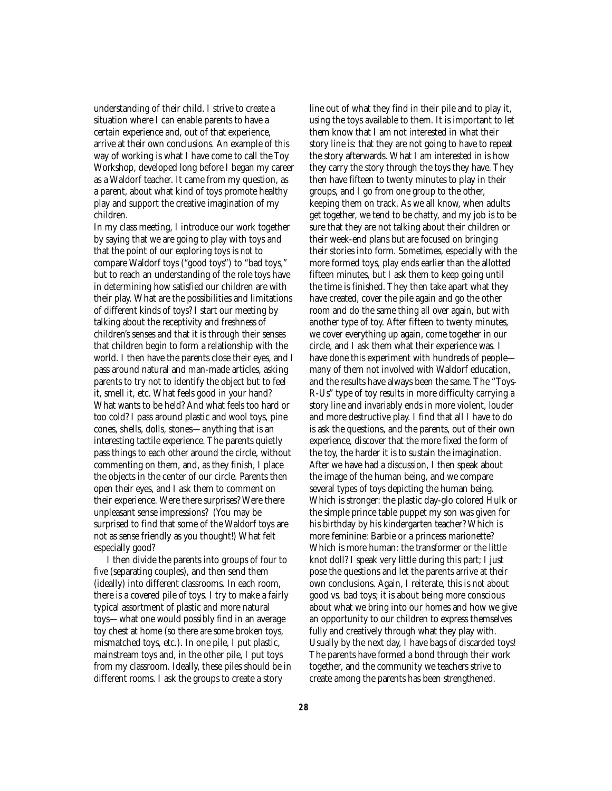understanding of their child. I strive to create a situation where I can enable parents to have a certain experience and, out of that experience, arrive at their own conclusions. An example of this way of working is what I have come to call the Toy Workshop, developed long before I began my career as a Waldorf teacher. It came from my question, as a parent, about what kind of toys promote healthy play and support the creative imagination of my children.

In my class meeting, I introduce our work together by saying that we are going to play with toys and that the point of our exploring toys is *not* to compare Waldorf toys ("good toys") to "bad toys," but to reach an understanding of the role toys have in determining how satisfied our children are with their play. What are the possibilities and limitations of different kinds of toys? I start our meeting by talking about the receptivity and freshness of children's senses and that it is through their senses that children begin to form a relationship with the world. I then have the parents close their eyes, and I pass around natural and man-made articles, asking parents to try not to identify the object but to feel it, smell it, etc. What feels good in your hand? What wants to be held? And what feels too hard or too cold? I pass around plastic and wool toys, pine cones, shells, dolls, stones—anything that is an interesting tactile experience. The parents quietly pass things to each other around the circle, without commenting on them, and, as they finish, I place the objects in the center of our circle. Parents then open their eyes, and I ask them to comment on their experience. Were there surprises? Were there unpleasant sense impressions? (You may be surprised to find that some of the Waldorf toys are not as sense friendly as you thought!) What felt especially good?

I then divide the parents into groups of four to five (separating couples), and then send them (ideally) into different classrooms. In each room, there is a covered pile of toys. I try to make a fairly typical assortment of plastic and more natural toys—what one would possibly find in an average toy chest at home (so there are some broken toys, mismatched toys, etc.). In one pile, I put plastic, mainstream toys and, in the other pile, I put toys from my classroom. Ideally, these piles should be in different rooms. I ask the groups to create a story

line out of what they find in their pile and to play it, using the toys available to them. It is important to let them know that I am not interested in what their story line is: that they are not going to have to repeat the story afterwards. What I am interested in is how they carry the story through the toys they have. They then have fifteen to twenty minutes to play in their groups, and I go from one group to the other, keeping them on track. As we all know, when adults get together, we tend to be chatty, and my job is to be sure that they are not talking about their children or their week-end plans but are focused on bringing their stories into form. Sometimes, especially with the more formed toys, play ends earlier than the allotted fifteen minutes, but I ask them to keep going until the time is finished. They then take apart what they have created, cover the pile again and go the other room and do the same thing all over again, but with another type of toy. After fifteen to twenty minutes, we cover everything up again, come together in our circle, and I ask them what their experience was. I have done this experiment with hundreds of people many of them not involved with Waldorf education, and the results have always been the same. The "Toys-R-Us" type of toy results in more difficulty carrying a story line and invariably ends in more violent, louder and more destructive play. I find that all I have to do is ask the questions, and the parents, out of their own experience, discover that the more fixed the form of the toy, the harder it is to sustain the imagination. After we have had a discussion, I then speak about the image of the human being, and we compare several types of toys depicting the human being. Which is stronger: the plastic day-glo colored Hulk or the simple prince table puppet my son was given for his birthday by his kindergarten teacher? Which is more feminine: Barbie or a princess marionette? Which is more human: the transformer or the little knot doll? I speak very little during this part; I just pose the questions and let the parents arrive at their own conclusions. Again, I reiterate, this is *not* about good vs. bad toys; it is about being more conscious about what we bring into our homes and how we give an opportunity to our children to express themselves fully and creatively through what they play with. Usually by the next day, I have bags of discarded toys! The parents have formed a bond through their work together, and the community we teachers strive to create among the parents has been strengthened.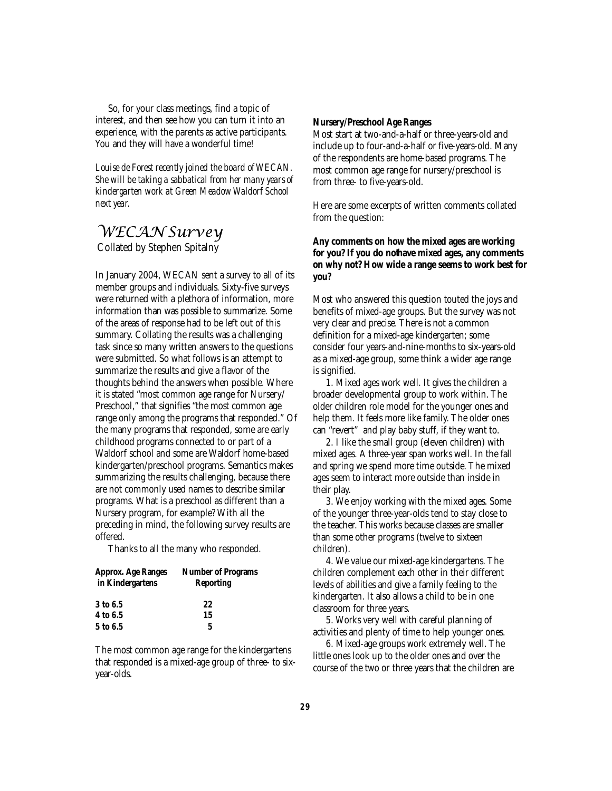So, for your class meetings, find a topic of interest, and then see how you can turn it into an experience, with the parents as active participants. You and they will have a wonderful time!

*Louise de Forest recently joined the board of WECAN. She will be taking a sabbatical from her many years of kindergarten work at Green Meadow Waldorf School next year.*

## WECAN Survey Collated by Stephen Spitalny

In January 2004, WECAN sent a survey to all of its member groups and individuals. Sixty-five surveys were returned with a plethora of information, more information than was possible to summarize. Some of the areas of response had to be left out of this summary. Collating the results was a challenging task since so many written answers to the questions were submitted. So what follows is an attempt to summarize the results and give a flavor of the thoughts behind the answers when possible. Where it is stated "most common age range for Nursery/ Preschool," that signifies "the most common age range only among the programs that responded." Of the many programs that responded, some are early childhood programs connected to or part of a Waldorf school and some are Waldorf home-based kindergarten/preschool programs. Semantics makes summarizing the results challenging, because there are not commonly used names to describe similar programs. What is a preschool as different than a Nursery program, for example? With all the preceding in mind, the following survey results are offered.

Thanks to all the many who responded.

| <b>Approx.</b> Age Ranges<br>in Kindergartens | <b>Number of Programs</b><br><b>Reporting</b> |
|-----------------------------------------------|-----------------------------------------------|
| 3 to 6.5                                      | 22                                            |
| 4 to 6.5                                      | 15                                            |
| 5 to 6.5                                      | 5                                             |
|                                               |                                               |

The most common age range for the kindergartens that responded is a mixed-age group of three- to sixyear-olds.

#### **Nursery/Preschool Age Ranges**

Most start at two-and-a-half or three-years-old and include up to four-and-a-half or five-years-old. Many of the respondents are home-based programs. The most common age range for nursery/preschool is from three- to five-years-old.

Here are some excerpts of written comments collated from the question:

#### *Any comments on how the mixed ages are working for you? If you do nothave mixed ages, any comments on why not? How wide a range seems to work best for you?*

Most who answered this question touted the joys and benefits of mixed-age groups. But the survey was not very clear and precise. There is not a common definition for a mixed-age kindergarten; some consider four years-and-nine-months to six-years-old as a mixed-age group, some think a wider age range is signified.

1. Mixed ages work well. It gives the children a broader developmental group to work within. The older children role model for the younger ones and help them. It feels more like family. The older ones can "revert" and play baby stuff, if they want to.

2. I like the small group (eleven children) with mixed ages. A three-year span works well. In the fall and spring we spend more time outside. The mixed ages seem to interact more outside than inside in their play.

3. We enjoy working with the mixed ages. Some of the younger three-year-olds tend to stay close to the teacher. This works because classes are smaller than some other programs (twelve to sixteen children).

4. We value our mixed-age kindergartens. The children complement each other in their different levels of abilities and give a family feeling to the kindergarten. It also allows a child to be in one classroom for three years.

5. Works very well with careful planning of activities and plenty of time to help younger ones.

6. Mixed-age groups work extremely well. The little ones look up to the older ones and over the course of the two or three years that the children are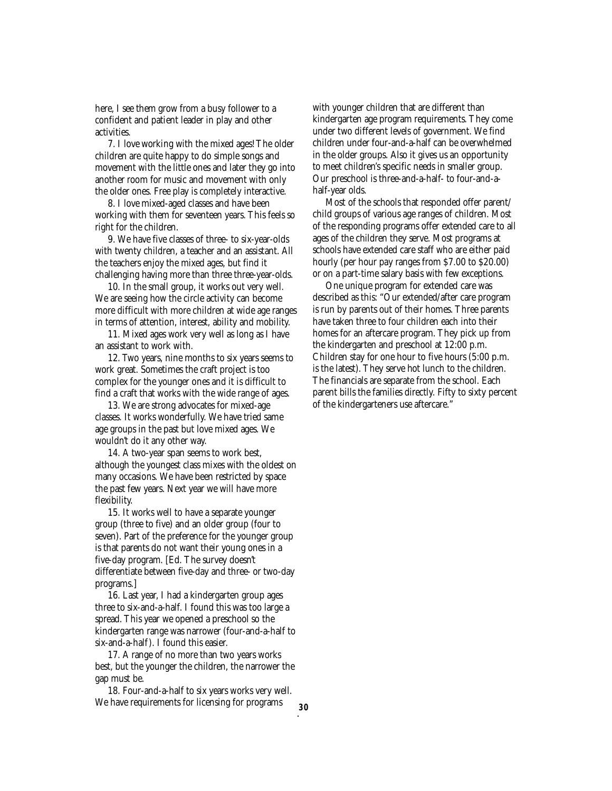here, I see them grow from a busy follower to a confident and patient leader in play and other activities.

7. I love working with the mixed ages! The older children are quite happy to do simple songs and movement with the little ones and later they go into another room for music and movement with only the older ones. Free play is completely interactive.

8. I love mixed-aged classes and have been working with them for seventeen years. This feels so right for the children.

9. We have five classes of three- to six-year-olds with twenty children, a teacher and an assistant. All the teachers enjoy the mixed ages, but find it challenging having more than three three-year-olds.

10. In the small group, it works out very well. We are seeing how the circle activity can become more difficult with more children at wide age ranges in terms of attention, interest, ability and mobility.

11. Mixed ages work very well as long as I have an assistant to work with.

12. Two years, nine months to six years seems to work great. Sometimes the craft project is too complex for the younger ones and it is difficult to find a craft that works with the wide range of ages.

13. We are strong advocates for mixed-age classes. It works wonderfully. We have tried same age groups in the past but love mixed ages. We wouldn't do it any other way.

14. A two-year span seems to work best, although the youngest class mixes with the oldest on many occasions. We have been restricted by space the past few years. Next year we will have more flexibility.

15. It works well to have a separate younger group (three to five) and an older group (four to seven). Part of the preference for the younger group is that parents do not want their young ones in a five-day program. [Ed. The survey doesn't differentiate between five-day and three- or two-day programs.]

16. Last year, I had a kindergarten group ages three to six-and-a-half. I found this was too large a spread. This year we opened a preschool so the kindergarten range was narrower (four-and-a-half to six-and-a-half). I found this easier.

17. A range of no more than two years works best, but the younger the children, the narrower the gap must be.

18. Four-and-a-half to six years works very well. We have requirements for licensing for programs

with younger children that are different than kindergarten age program requirements. They come under two different levels of government. We find children under four-and-a-half can be overwhelmed in the older groups. Also it gives us an opportunity to meet children's specific needs in smaller group. Our preschool is three-and-a-half- to four-and-ahalf-year olds.

Most of the schools that responded offer parent/ child groups of various age ranges of children. Most of the responding programs offer extended care to all ages of the children they serve. Most programs at schools have extended care staff who are either paid hourly (per hour pay ranges from \$7.00 to \$20.00) or on a part-time salary basis with few exceptions.

One unique program for extended care was described as this: "Our extended/after care program is run by parents out of their homes. Three parents have taken three to four children each into their homes for an aftercare program. They pick up from the kindergarten and preschool at 12:00 p.m. Children stay for one hour to five hours (5:00 p.m. is the latest). They serve hot lunch to the children. The financials are separate from the school. Each parent bills the families directly. Fifty to sixty percent of the kindergarteners use aftercare."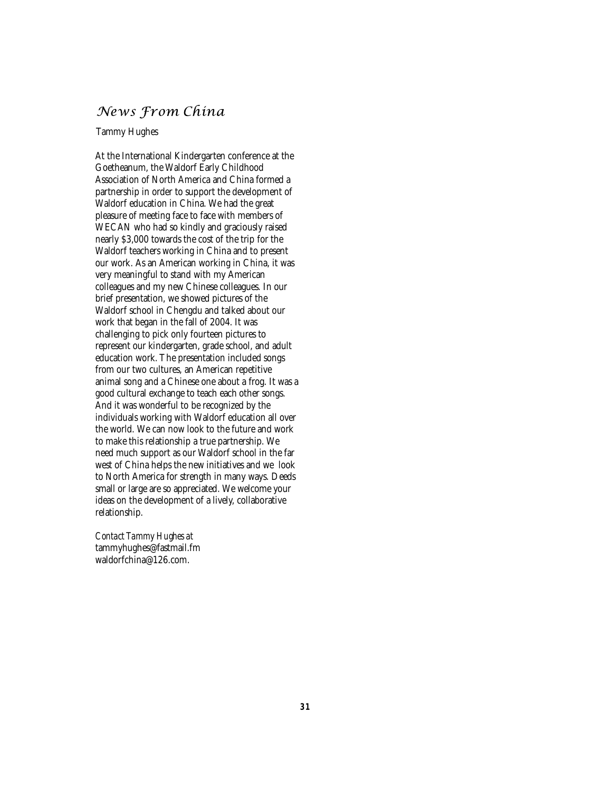## News From China

Tammy Hughes

At the International Kindergarten conference at the Goetheanum, the Waldorf Early Childhood Association of North America and China formed a partnership in order to support the development of Waldorf education in China. We had the great pleasure of meeting face to face with members of WECAN who had so kindly and graciously raised nearly \$3,000 towards the cost of the trip for the Waldorf teachers working in China and to present our work. As an American working in China, it was very meaningful to stand with my American colleagues and my new Chinese colleagues. In our brief presentation, we showed pictures of the Waldorf school in Chengdu and talked about our work that began in the fall of 2004. It was challenging to pick only fourteen pictures to represent our kindergarten, grade school, and adult education work. The presentation included songs from our two cultures, an American repetitive animal song and a Chinese one about a frog. It was a good cultural exchange to teach each other songs. And it was wonderful to be recognized by the individuals working with Waldorf education all over the world. We can now look to the future and work to make this relationship a true partnership. We need much support as our Waldorf school in the far west of China helps the new initiatives and we look to North America for strength in many ways. Deeds small or large are so appreciated. We welcome your ideas on the development of a lively, collaborative relationship.

*Contact Tammy Hughes at* tammyhughes@fastmail.fm waldorfchina@126.com.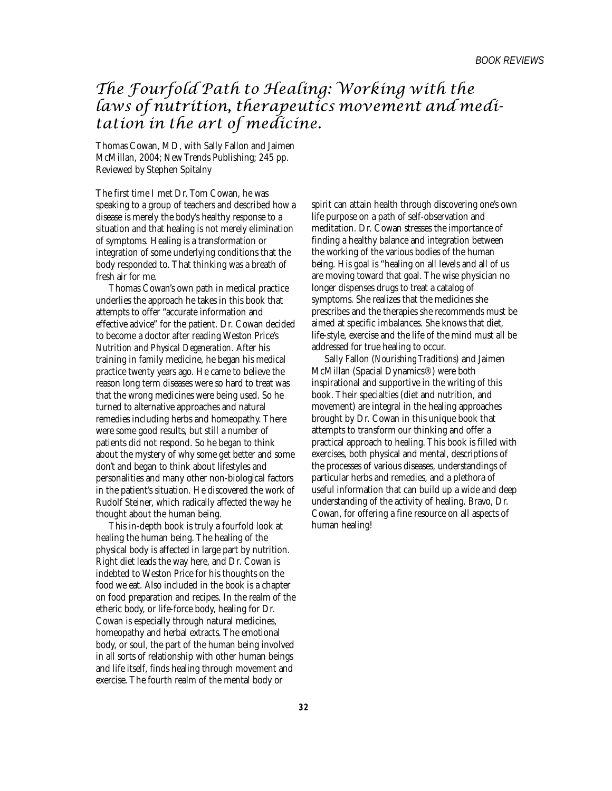## The Fourfold Path to Healing: Working with the laws of nutrition, therapeutics movement and meditation in the art of medicine.

Thomas Cowan, MD, with Sally Fallon and Jaimen McMillan, 2004; New Trends Publishing; 245 pp. Reviewed by Stephen Spitalny

The first time I met Dr. Tom Cowan, he was speaking to a group of teachers and described how a disease is merely the body's healthy response to a situation and that healing is not merely elimination of symptoms. Healing is a transformation or integration of some underlying conditions that the body responded to. That thinking was a breath of fresh air for me.

Thomas Cowan's own path in medical practice underlies the approach he takes in this book that attempts to offer "accurate information and effective advice" for the patient. Dr. Cowan decided to become a doctor after reading Weston Price's *Nutrition and Physical Degeneration*. After his training in family medicine, he began his medical practice twenty years ago. He came to believe the reason long term diseases were so hard to treat was that the wrong medicines were being used. So he turned to alternative approaches and natural remedies including herbs and homeopathy. There were some good results, but still a number of patients did not respond. So he began to think about the mystery of why some get better and some don't and began to think about lifestyles and personalities and many other non-biological factors in the patient's situation. He discovered the work of Rudolf Steiner, which radically affected the way he thought about the human being.

This in-depth book is truly a fourfold look at healing the human being. The healing of the physical body is affected in large part by nutrition. Right diet leads the way here, and Dr. Cowan is indebted to Weston Price for his thoughts on the food we eat. Also included in the book is a chapter on food preparation and recipes. In the realm of the etheric body, or life-force body, healing for Dr. Cowan is especially through natural medicines, homeopathy and herbal extracts. The emotional body, or soul, the part of the human being involved in all sorts of relationship with other human beings and life itself, finds healing through movement and exercise. The fourth realm of the mental body or

spirit can attain health through discovering one's own life purpose on a path of self-observation and meditation. Dr. Cowan stresses the importance of finding a healthy balance and integration between the working of the various bodies of the human being. His goal is "healing on all levels and all of us are moving toward that goal. The wise physician no longer dispenses drugs to treat a catalog of symptoms. She realizes that the medicines she prescribes and the therapies she recommends must be aimed at specific imbalances. She knows that diet, life-style, exercise and the life of the mind must all be addressed for true healing to occur.

Sally Fallon (*Nourishing Traditions*) and Jaimen McMillan (Spacial Dynamics®) were both inspirational and supportive in the writing of this book. Their specialties (diet and nutrition, and movement) are integral in the healing approaches brought by Dr. Cowan in this unique book that attempts to transform our thinking and offer a practical approach to healing. This book is filled with exercises, both physical and mental, descriptions of the processes of various diseases, understandings of particular herbs and remedies, and a plethora of useful information that can build up a wide and deep understanding of the activity of healing. Bravo, Dr. Cowan, for offering a fine resource on all aspects of human healing!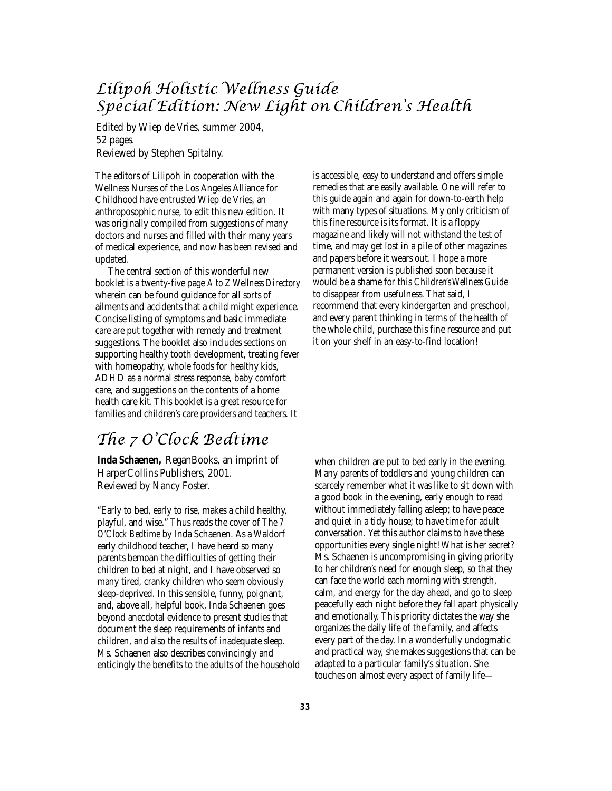## Lilipoh Holistic Wellness Guide Special Edition: New Light on Children's Health

Edited by Wiep de Vries, summer 2004, 52 pages. Reviewed by Stephen Spitalny.

The editors of Lilipoh in cooperation with the Wellness Nurses of the Los Angeles Alliance for Childhood have entrusted Wiep de Vries, an anthroposophic nurse, to edit this new edition. It was originally compiled from suggestions of many doctors and nurses and filled with their many years of medical experience, and now has been revised and updated.

The central section of this wonderful new booklet is a twenty-five page *A to Z Wellness Directory* wherein can be found guidance for all sorts of ailments and accidents that a child might experience. Concise listing of symptoms and basic immediate care are put together with remedy and treatment suggestions. The booklet also includes sections on supporting healthy tooth development, treating fever with homeopathy, whole foods for healthy kids, ADHD as a normal stress response, baby comfort care, and suggestions on the contents of a home health care kit. This booklet is a great resource for families and children's care providers and teachers. It

## The 7 O'Clock Bedtime

**Inda Schaenen,** ReganBooks, an imprint of HarperCollins Publishers, 2001. Reviewed by Nancy Foster.

"Early to bed, early to rise, makes a child healthy, playful, and wise." Thus reads the cover of *The 7 O'Clock Bedtime* by Inda Schaenen. As a Waldorf early childhood teacher, I have heard so many parents bemoan the difficulties of getting their children to bed at night, and I have observed so many tired, cranky children who seem obviously sleep-deprived. In this sensible, funny, poignant, and, above all, helpful book, Inda Schaenen goes beyond anecdotal evidence to present studies that document the sleep requirements of infants and children, and also the results of inadequate sleep. Ms. Schaenen also describes convincingly and enticingly the benefits to the adults of the household is accessible, easy to understand and offers simple remedies that are easily available. One will refer to this guide again and again for down-to-earth help with many types of situations. My only criticism of this fine resource is its format. It is a floppy magazine and likely will not withstand the test of time, and may get lost in a pile of other magazines and papers before it wears out. I hope a more permanent version is published soon because it would be a shame for this *Children's Wellness Guide* to disappear from usefulness. That said, I recommend that every kindergarten and preschool, and every parent thinking in terms of the health of the whole child, purchase this fine resource and put it on your shelf in an easy-to-find location!

when children are put to bed early in the evening. Many parents of toddlers and young children can scarcely remember what it was like to sit down with a good book in the evening, early enough to read without immediately falling asleep; to have peace and quiet in a tidy house; to have time for adult conversation. Yet this author claims to have these opportunities every single night! What is her secret? Ms. Schaenen is uncompromising in giving priority to her children's need for enough sleep, so that they can face the world each morning with strength, calm, and energy for the day ahead, and go to sleep peacefully each night before they fall apart physically and emotionally. This priority dictates the way she organizes the daily life of the family, and affects every part of the day. In a wonderfully undogmatic and practical way, she makes suggestions that can be adapted to a particular family's situation. She touches on almost every aspect of family life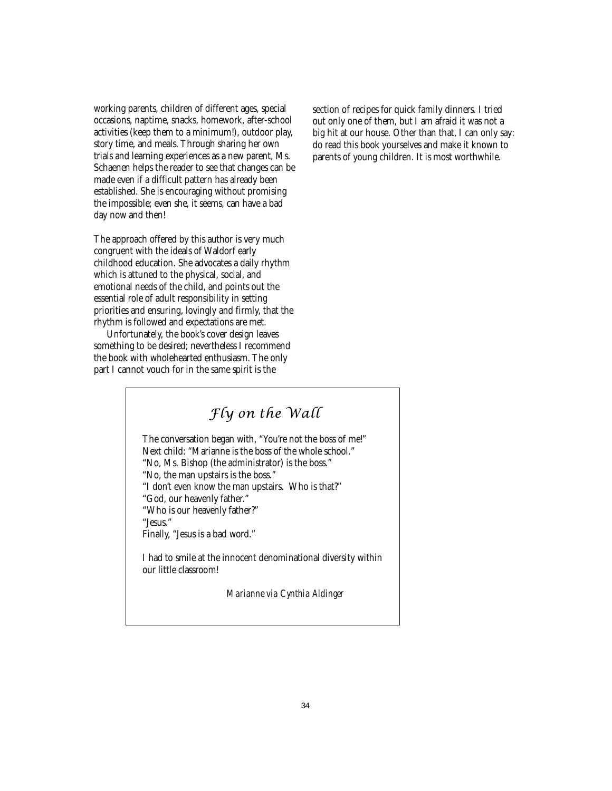working parents, children of different ages, special occasions, naptime, snacks, homework, after-school activities (keep them to a minimum!), outdoor play, story time, and meals. Through sharing her own trials and learning experiences as a new parent, Ms. Schaenen helps the reader to see that changes can be made even if a difficult pattern has already been established. She is encouraging without promising the impossible; even she, it seems, can have a bad day now and then!

The approach offered by this author is very much congruent with the ideals of Waldorf early childhood education. She advocates a daily rhythm which is attuned to the physical, social, and emotional needs of the child, and points out the essential role of adult responsibility in setting priorities and ensuring, lovingly and firmly, that the rhythm is followed and expectations are met.

Unfortunately, the book's cover design leaves something to be desired; nevertheless I recommend the book with wholehearted enthusiasm. The only part I cannot vouch for in the same spirit is the

section of recipes for quick family dinners. I tried out only one of them, but I am afraid it was not a big hit at our house. Other than that, I can only say: do read this book yourselves and make it known to parents of young children. It is most worthwhile.

## Fly on the Wall

The conversation began with, "You're not the boss of me!" Next child: "Marianne is the boss of the whole school." "No, Ms. Bishop (the administrator) is the boss." "No, the man upstairs is the boss." "I don't even know the man upstairs. Who is that?" "God, our heavenly father." "Who is our heavenly father?" "Jesus." Finally, "Jesus is a bad word."

I had to smile at the innocent denominational diversity within our little classroom!

*Marianne via Cynthia Aldinger*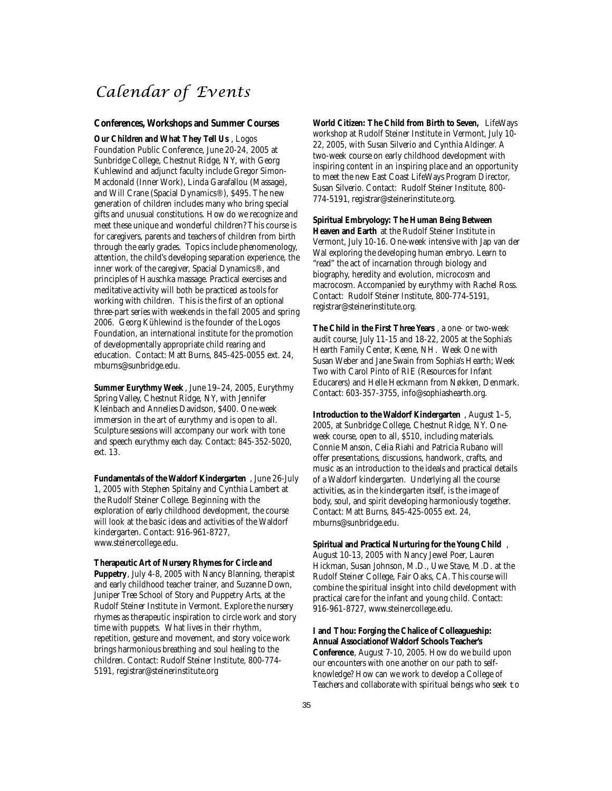## Calendar of Events

#### *Conferences, Workshops and Summer Courses*

**Our Children and What They Tell Us** , Logos Foundation Public Conference, June 20-24, 2005 at Sunbridge College, Chestnut Ridge, NY, with Georg Kuhlewind and adjunct faculty include Gregor Simon-Macdonald (Inner Work), Linda Garafallou (Massage), and Will Crane (Spacial Dynamics®), \$495. The new generation of children includes many who bring special gifts and unusual constitutions. How do we recognize and meet these unique and wonderful children? This course is for caregivers, parents and teachers of children from birth through the early grades. Topics include phenomenology, attention, the child's developing separation experience, the inner work of the caregiver, Spacial Dynamics®, and principles of Hauschka massage. Practical exercises and meditative activity will both be practiced as tools for working with children. This is the first of an optional three-part series with weekends in the fall 2005 and spring 2006. Georg Kühlewind is the founder of the Logos Foundation, an international institute for the promotion of developmentally appropriate child rearing and education. Contact: Matt Burns, 845-425-0055 ext. 24, mburns@sunbridge.edu.

**Summer Eurythmy Week** , June 19–24, 2005, Eurythmy Spring Valley, Chestnut Ridge, NY, with Jennifer Kleinbach and Annelies Davidson, \$400. One-week immersion in the art of eurythmy and is open to all. Sculpture sessions will accompany our work with tone and speech eurythmy each day. Contact: 845-352-5020, ext. 13.

**Fundamentals of the Waldorf Kindergarten** , June 26-July 1, 2005 with Stephen Spitalny and Cynthia Lambert at the Rudolf Steiner College. Beginning with the exploration of early childhood development, the course will look at the basic ideas and activities of the Waldorf kindergarten. Contact: 916-961-8727, www.steinercollege.edu.

**Therapeutic Art of Nursery Rhymes for Circle and Puppetry** , July 4-8, 2005 with Nancy Blanning, therapist and early childhood teacher trainer, and Suzanne Down, Juniper Tree School of Story and Puppetry Arts, at the Rudolf Steiner Institute in Vermont. Explore the nursery rhymes as therapeutic inspiration to circle work and story time with puppets. What lives in their rhythm, repetition, gesture and movement, and story voice work brings harmonious breathing and soul healing to the children. Contact: Rudolf Steiner Institute, 800-774- 5191, registrar@steinerinstitute.org

**World Citizen: The Child from Birth to Seven,** LifeWays workshop at Rudolf Steiner Institute in Vermont, July 10- 22, 2005, with Susan Silverio and Cynthia Aldinger. A two-week course on early childhood development with inspiring content in an inspiring place and an opportunity to meet the new East Coast LifeWays Program Director, Susan Silverio. Contact: Rudolf Steiner Institute, 800- 774-5191, registrar@steinerinstitute.org.

#### **Spiritual Embryology: The Human Being Between**

**Heaven and Earth** at the Rudolf Steiner Institute in Vermont, July 10-16. One-week intensive with Jap van der Wal exploring the developing human embryo. Learn to "read" the act of incarnation through biology and biography, heredity and evolution, microcosm and macrocosm. Accompanied by eurythmy with Rachel Ross. Contact: Rudolf Steiner Institute, 800-774-5191, registrar@steinerinstitute.org.

**The Child in the First Three Years** , a one- or two-week audit course, July 11-15 and 18-22, 2005 at the Sophia's Hearth Family Center, Keene, NH. Week One with Susan Weber and Jane Swain from Sophia's Hearth; Week Two with Carol Pinto of RIE (Resources for Infant Educarers) and Helle Heckmann from Nøkken, Denmark. Contact: 603-357-3755, info@sophiashearth.org.

**Introduction to the Waldorf Kindergarten** , August 1–5, 2005, at Sunbridge College, Chestnut Ridge, NY. Oneweek course, open to all, \$510, including materials. Connie Manson, Celia Riahi and Patricia Rubano will offer presentations, discussions, handwork, crafts, and music as an introduction to the ideals and practical details of a Waldorf kindergarten. Underlying all the course activities, as in the kindergarten itself, is the image of body, soul, and spirit developing harmoniously together. Contact: Matt Burns, 845-425-0055 ext. 24, mburns@sunbridge.edu.

**Spiritual and Practical Nurturing for the Young Child** , August 10-13, 2005 with Nancy Jewel Poer, Lauren Hickman, Susan Johnson, M.D., Uwe Stave, M.D. at the Rudolf Steiner College, Fair Oaks, CA. This course will combine the spiritual insight into child development with practical care for the infant and young child. Contact: 916-961-8727, www.steinercollege.edu.

**I and Thou: Forging the Chalice of Colleagueship: Annual Associationof Waldorf Schools Teacher's Conference**, August 7-10, 2005. How do we build upon our encounters with one another on our path to selfknowledge? How can we work to develop a College of Teachers and collaborate with spiritual beings who seek to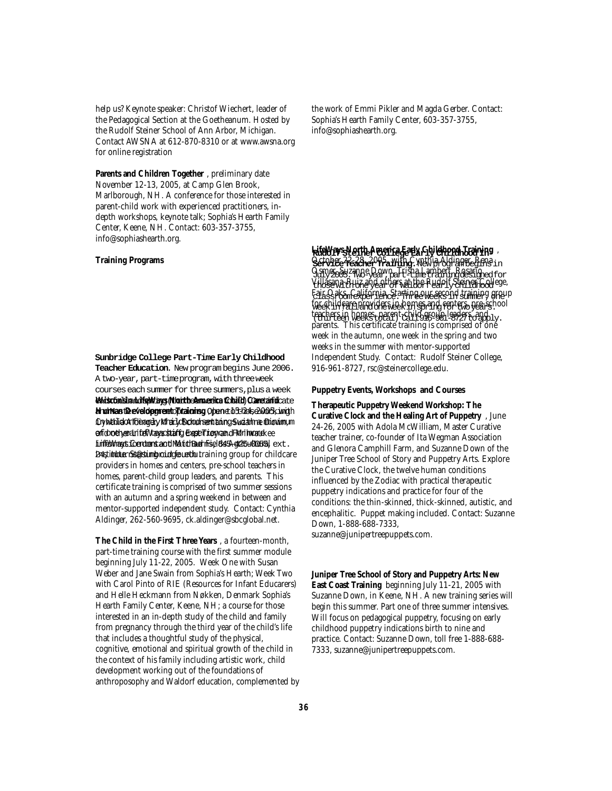help us? Keynote speaker: Christof Wiechert, leader of the Pedagogical Section at the Goetheanum. Hosted by the Rudolf Steiner School of Ann Arbor, Michigan. Contact AWSNA at 612-870-8310 or at www.awsna.org for online registration

**Parents and Children Together** , preliminary date November 12-13, 2005, at Camp Glen Brook, Marlborough, NH. A conference for those interested in parent-child work with experienced practitioners, indepth workshops, keynote talk; Sophia's Hearth Family Center, Keene, NH. Contact: 603-357-3755, info@sophiashearth.org.

#### *Training Programs*

**Wisconsin LifeWays (North America Child) Caretanideate Human Development Training** Open to 5:124, 2005, with Cymthia Aldinger, Mary Schunentum s with ne Mowm, m and other LifeWays staff, East Troy and Milwaukee of one year of teaching experience. For more LiffeWays Centers and MattchaehEigle45Agr26u00651, ext. Destitutter Starting rounds burdu training group for childcare providers in homes and centers, pre-school teachers in homes, parent-child group leaders, and parents. This certificate training is comprised of two summer sessions with an autumn and a spring weekend in between and mentor-supported independent study. Contact: Cynthia Aldinger, 262-560-9695, ck.aldinger@sbcglobal.net. **Sunbridge College Part-Time Early Childhood Teacher Education**. New program begins June 2006. A two-year, part-time program, with three week courses each summer for three summers,plus a week

**The Child in the First Three Years** , a fourteen-month, part-time training course with the first summer module beginning July 11-22, 2005. Week One with Susan Weber and Jane Swain from Sophia's Hearth; Week Two with Carol Pinto of RIE (Resources for Infant Educarers) and Helle Heckmann from Nøkken, Denmark Sophia's Hearth Family Center, Keene, NH; a course for those interested in an in-depth study of the child and family from pregnancy through the third year of the child's life that includes a thoughtful study of the physical, cognitive, emotional and spiritual growth of the child in the context of his family including artistic work, child development working out of the foundations of anthroposophy and Waldorf education, complemented by the work of Emmi Pikler and Magda Gerber. Contact: Sophia's Hearth Family Center, 603-357-3755, info@sophiashearth.org.

**LifeWays North America Early Childhood Training**, October 22-28, 2005, with Cynthia Aldinger, Rena **Service Teacher Training.**New program begins in Osmer, Suzanne Down, Trisha Lambert, Rosario Villasana-Ruiz and others at the Rudolf Steiner College, July 2005. Two-year, part-time training designed for Fair Oaks, California. Starting our second training group classroom experience. Three weeks in summer, one for childcare providers in homes and centers, pre-school week in fall and one week in spring for two years. teachers in homes, parent-child group leaders, and (thirteen weeks total) Call 916-961-8727 to apply.parents. This certificate training is comprised of one week in the autumn, one week in the spring and two weeks in the summer with mentor-supported Independent Study. Contact: Rudolf Steiner College, 916-961-8727, rsc@steinercollege.edu. those with one year of Waldorf early childhood

#### *Puppetry Events, Workshops and Courses*

**Therapeutic Puppetry Weekend Workshop: The Curative Clock and the Healing Art of Puppetry** , June 24-26, 2005 with Adola McWilliam, Master Curative teacher trainer, co-founder of Ita Wegman Association and Glenora Camphill Farm, and Suzanne Down of the Juniper Tree School of Story and Puppetry Arts. Explore the Curative Clock, the twelve human conditions influenced by the Zodiac with practical therapeutic puppetry indications and practice for four of the conditions: the thin-skinned, thick-skinned, autistic, and encephalitic. Puppet making included. Contact: Suzanne Down, 1-888-688-7333, suzanne@junipertreepuppets.com.

**Juniper Tree School of Story and Puppetry Arts: New East Coast Training** beginning July 11-21, 2005 with Suzanne Down, in Keene, NH. A new training series will begin this summer. Part one of three summer intensives. Will focus on pedagogical puppetry, focusing on early childhood puppetry indications birth to nine and practice. Contact: Suzanne Down, toll free 1-888-688- 7333, suzanne@junipertreepuppets.com.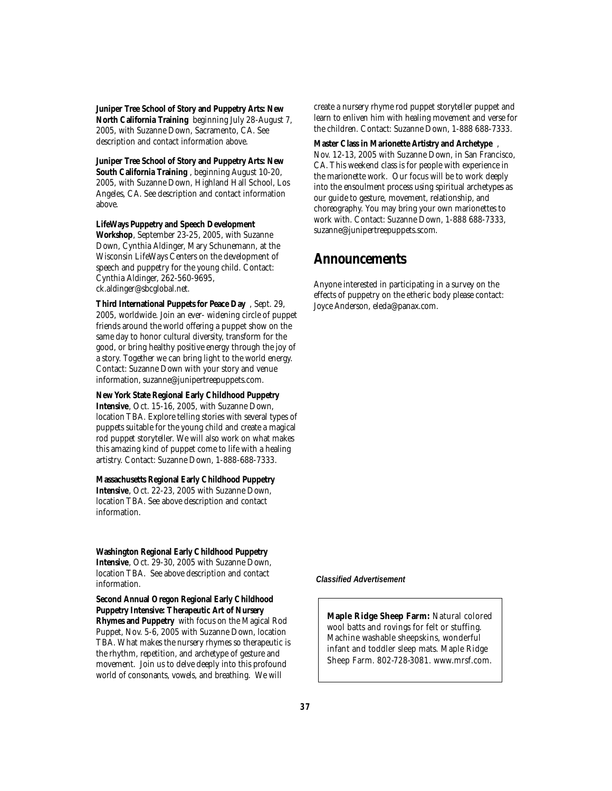**Juniper Tree School of Story and Puppetry Arts: New North California Training** beginning July 28-August 7, 2005, with Suzanne Down, Sacramento, CA. See description and contact information above.

**Juniper Tree School of Story and Puppetry Arts: New South California Training** , beginning August 10-20, 2005, with Suzanne Down, Highland Hall School, Los Angeles, CA. See description and contact information above.

**LifeWays Puppetry and Speech Development Workshop**, September 23-25, 2005, with Suzanne Down, Cynthia Aldinger, Mary Schunemann, at the Wisconsin LifeWays Centers on the development of speech and puppetry for the young child. Contact: Cynthia Aldinger, 262-560-9695, ck.aldinger@sbcglobal.net.

**Third International Puppets for Peace Day** , Sept. 29, 2005, worldwide. Join an ever- widening circle of puppet friends around the world offering a puppet show on the same day to honor cultural diversity, transform for the good, or bring healthy positive energy through the joy of a story. Together we can bring light to the world energy. Contact: Suzanne Down with your story and venue information, suzanne@junipertreepuppets.com.

**New York State Regional Early Childhood Puppetry Intensive**, Oct. 15-16, 2005, with Suzanne Down, location TBA. Explore telling stories with several types of puppets suitable for the young child and create a magical rod puppet storyteller. We will also work on what makes this amazing kind of puppet come to life with a healing artistry. Contact: Suzanne Down, 1-888-688-7333.

**Massachusetts Regional Early Childhood Puppetry**

**Intensive**, Oct. 22-23, 2005 with Suzanne Down, location TBA. See above description and contact information.

**Washington Regional Early Childhood Puppetry Intensive**, Oct. 29-30, 2005 with Suzanne Down, location TBA. See above description and contact information.

**Second Annual Oregon Regional Early Childhood Puppetry Intensive: Therapeutic Art of Nursery Rhymes and Puppetry** with focus on the Magical Rod Puppet, Nov. 5-6, 2005 with Suzanne Down, location TBA. What makes the nursery rhymes so therapeutic is the rhythm, repetition, and archetype of gesture and movement. Join us to delve deeply into this profound world of consonants, vowels, and breathing. We will

create a nursery rhyme rod puppet storyteller puppet and learn to enliven him with healing movement and verse for the children. Contact: Suzanne Down, 1-888 688-7333.

**Master Class in Marionette Artistry and Archetype** , Nov. 12-13, 2005 with Suzanne Down, in San Francisco, CA. This weekend class is for people with experience in the marionette work. Our focus will be to work deeply into the ensoulment process using spiritual archetypes as our guide to gesture, movement, relationship, and choreography. You may bring your own marionettes to work with. Contact: Suzanne Down, 1-888 688-7333, suzanne@junipertreepuppets.scom.

### *Announcements*

Anyone interested in participating in a survey on the effects of puppetry on the etheric body please contact: Joyce Anderson, eleda@panax.com.

*Classified Advertisement*

**Maple Ridge Sheep Farm:** Natural colored wool batts and rovings for felt or stuffing. Machine washable sheepskins, wonderful infant and toddler sleep mats. Maple Ridge Sheep Farm. 802-728-3081. www.mrsf.com.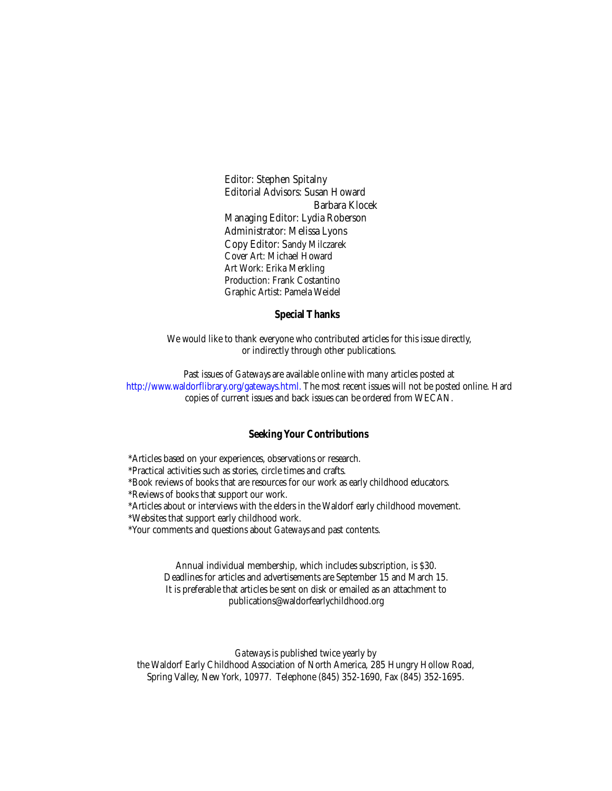Editor: Stephen Spitalny Editorial Advisors: Susan Howard Barbara Klocek Managing Editor: Lydia Roberson Administrator: Melissa Lyons Copy Editor: Sandy Milczarek Cover Art: Michael Howard Art Work: Erika Merkling Production: Frank Costantino Graphic Artist: Pamela Weidel

#### *Special Thanks*

We would like to thank everyone who contributed articles for this issue directly, or indirectly through other publications.

Past issues of *Gateways* are available online with many articles posted at http://www.waldorflibrary.org/gateways.html. The most recent issues will not be posted online. Hard copies of current issues and back issues can be ordered from WECAN.

#### *Seeking Your Contributions*

\*Articles based on your experiences, observations or research.

\*Practical activities such as stories, circle times and crafts.

\*Book reviews of books that are resources for our work as early childhood educators.

\*Reviews of books that support our work.

\*Articles about or interviews with the elders in the Waldorf early childhood movement.

\*Websites that support early childhood work.

\*Your comments and questions about *Gateways* and past contents.

Annual individual membership, which includes subscription, is \$30. Deadlines for articles and advertisements are September 15 and March 15. It is preferable that articles be sent on disk or emailed as an attachment to publications@waldorfearlychildhood.org

*Gateways* is published twice yearly by the Waldorf Early Childhood Association of North America, 285 Hungry Hollow Road, Spring Valley, New York, 10977. Telephone (845) 352-1690, Fax (845) 352-1695.